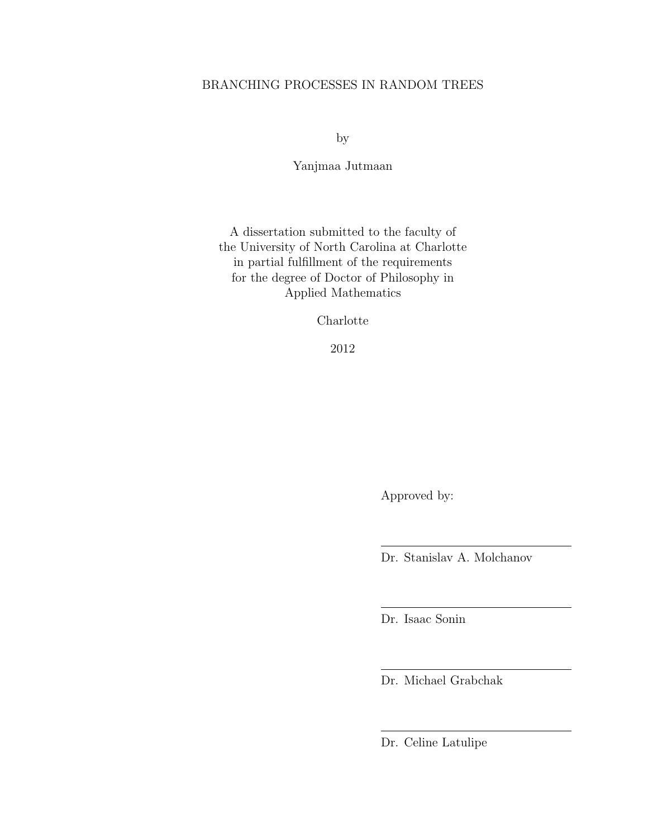# BRANCHING PROCESSES IN RANDOM TREES

by

Yanjmaa Jutmaan

A dissertation submitted to the faculty of the University of North Carolina at Charlotte in partial fulfillment of the requirements for the degree of Doctor of Philosophy in Applied Mathematics

Charlotte

2012

Approved by:

Dr. Stanislav A. Molchanov

Dr. Isaac Sonin

Dr. Michael Grabchak

Dr. Celine Latulipe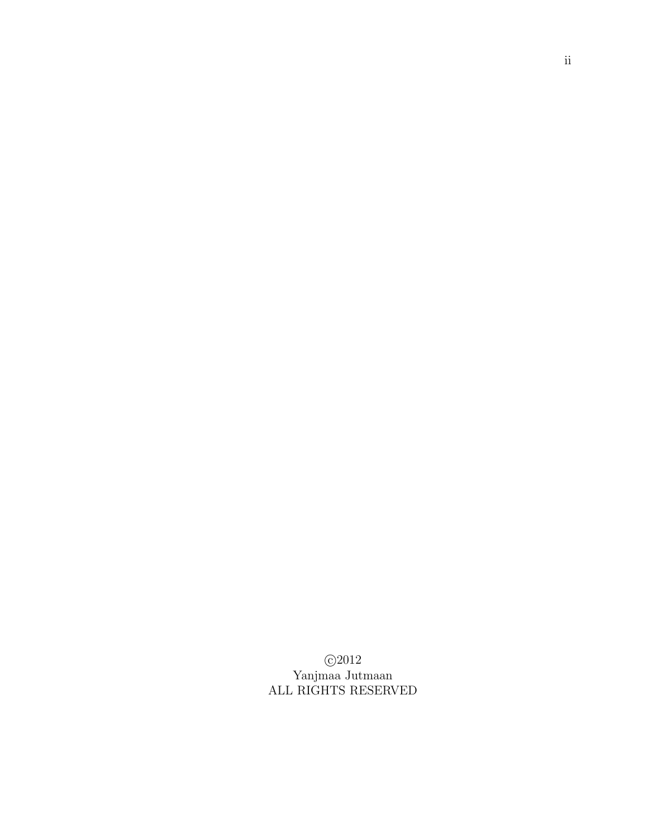c 2012 Yanjmaa Jutmaan ALL RIGHTS RESERVED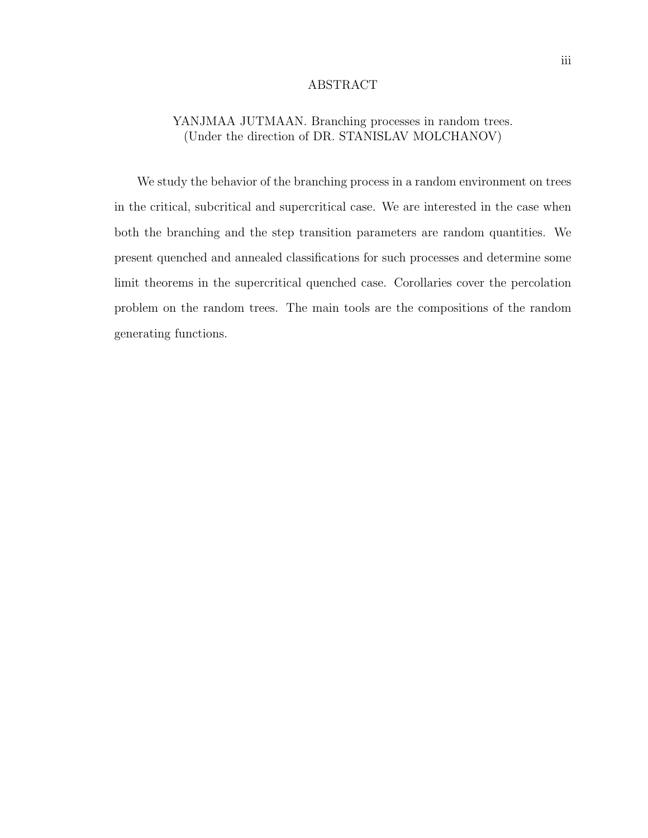### ABSTRACT

# YANJMAA JUTMAAN. Branching processes in random trees. (Under the direction of DR. STANISLAV MOLCHANOV)

We study the behavior of the branching process in a random environment on trees in the critical, subcritical and supercritical case. We are interested in the case when both the branching and the step transition parameters are random quantities. We present quenched and annealed classifications for such processes and determine some limit theorems in the supercritical quenched case. Corollaries cover the percolation problem on the random trees. The main tools are the compositions of the random generating functions.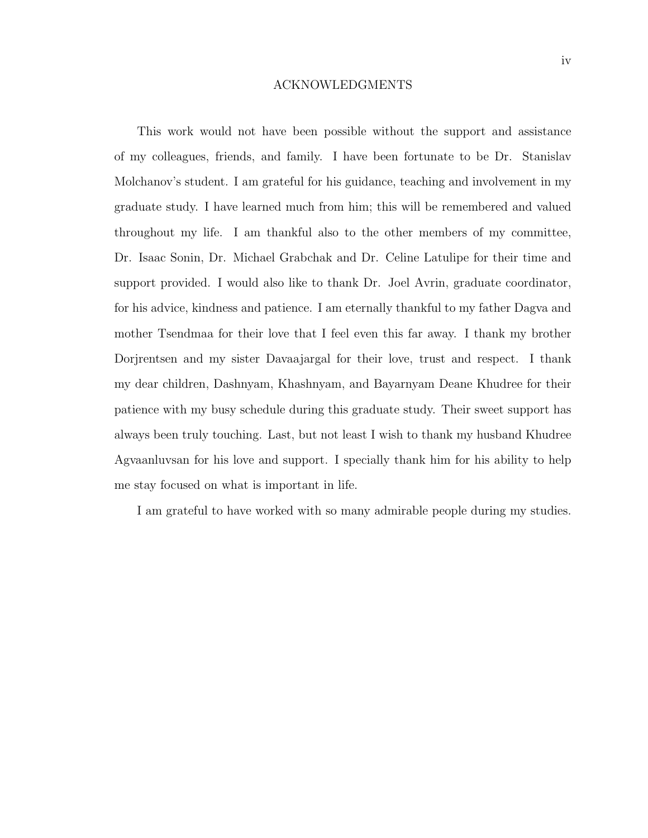#### ACKNOWLEDGMENTS

This work would not have been possible without the support and assistance of my colleagues, friends, and family. I have been fortunate to be Dr. Stanislav Molchanov's student. I am grateful for his guidance, teaching and involvement in my graduate study. I have learned much from him; this will be remembered and valued throughout my life. I am thankful also to the other members of my committee, Dr. Isaac Sonin, Dr. Michael Grabchak and Dr. Celine Latulipe for their time and support provided. I would also like to thank Dr. Joel Avrin, graduate coordinator, for his advice, kindness and patience. I am eternally thankful to my father Dagva and mother Tsendmaa for their love that I feel even this far away. I thank my brother Dorjrentsen and my sister Davaajargal for their love, trust and respect. I thank my dear children, Dashnyam, Khashnyam, and Bayarnyam Deane Khudree for their patience with my busy schedule during this graduate study. Their sweet support has always been truly touching. Last, but not least I wish to thank my husband Khudree Agvaanluvsan for his love and support. I specially thank him for his ability to help me stay focused on what is important in life.

I am grateful to have worked with so many admirable people during my studies.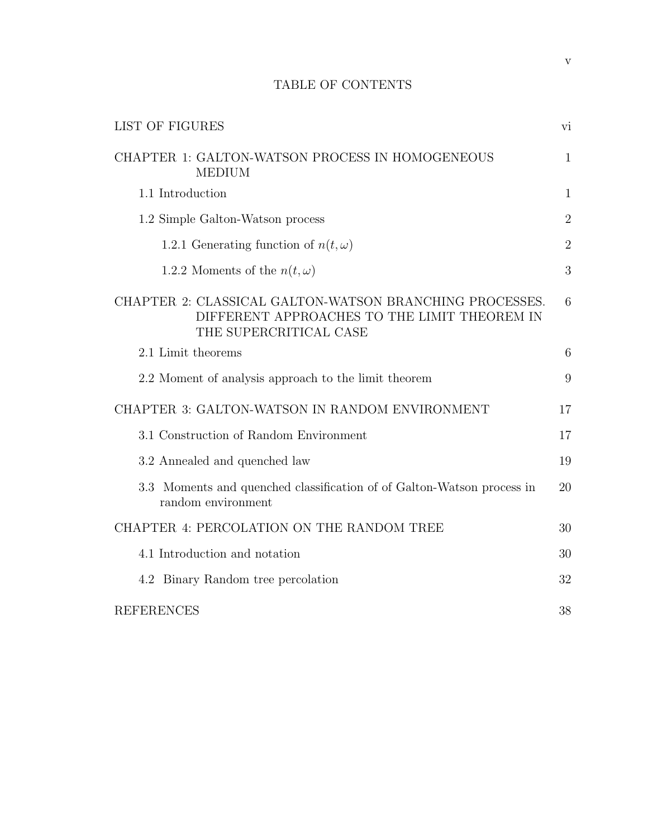# TABLE OF CONTENTS

| <b>LIST OF FIGURES</b>                                                                                                            | vi             |
|-----------------------------------------------------------------------------------------------------------------------------------|----------------|
| CHAPTER 1: GALTON-WATSON PROCESS IN HOMOGENEOUS<br><b>MEDIUM</b>                                                                  | $\mathbf{1}$   |
| 1.1 Introduction                                                                                                                  | 1              |
| 1.2 Simple Galton-Watson process                                                                                                  | $\overline{2}$ |
| 1.2.1 Generating function of $n(t, \omega)$                                                                                       | $\overline{2}$ |
| 1.2.2 Moments of the $n(t, \omega)$                                                                                               | 3              |
| CHAPTER 2: CLASSICAL GALTON-WATSON BRANCHING PROCESSES.<br>DIFFERENT APPROACHES TO THE LIMIT THEOREM IN<br>THE SUPERCRITICAL CASE | 6              |
| 2.1 Limit theorems                                                                                                                | 6              |
| 2.2 Moment of analysis approach to the limit theorem                                                                              | 9              |
| CHAPTER 3: GALTON-WATSON IN RANDOM ENVIRONMENT                                                                                    | 17             |
| 3.1 Construction of Random Environment                                                                                            | 17             |
| 3.2 Annealed and quenched law                                                                                                     | 19             |
| 3.3 Moments and quenched classification of of Galton-Watson process in<br>random environment                                      | 20             |
| CHAPTER 4: PERCOLATION ON THE RANDOM TREE                                                                                         | 30             |
| 4.1 Introduction and notation                                                                                                     | 30             |
| 4.2 Binary Random tree percolation                                                                                                | 32             |
| <b>REFERENCES</b>                                                                                                                 | 38             |

v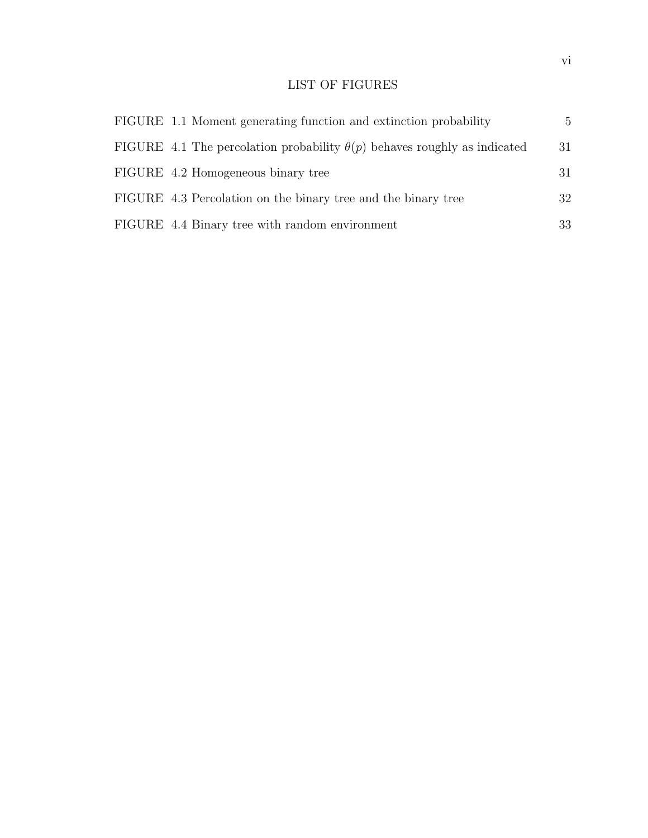# LIST OF FIGURES

| FIGURE 1.1 Moment generating function and extinction probability                | $\mathbf{5}$ |
|---------------------------------------------------------------------------------|--------------|
| FIGURE 4.1 The percolation probability $\theta(p)$ behaves roughly as indicated | 31           |
| FIGURE 4.2 Homogeneous binary tree                                              | 31           |
| FIGURE 4.3 Percolation on the binary tree and the binary tree                   | 32           |
| FIGURE 4.4 Binary tree with random environment                                  | 33           |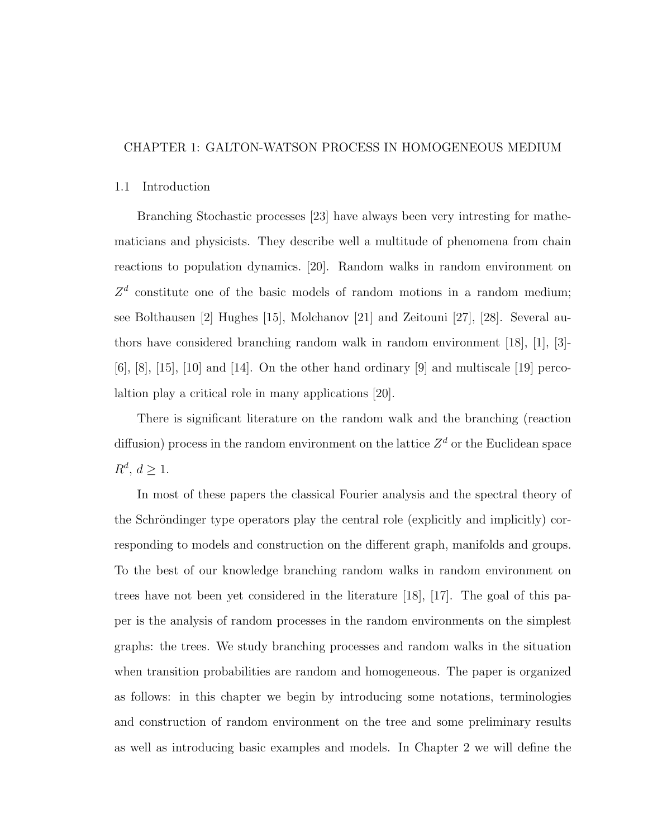# CHAPTER 1: GALTON-WATSON PROCESS IN HOMOGENEOUS MEDIUM

## 1.1 Introduction

Branching Stochastic processes [23] have always been very intresting for mathematicians and physicists. They describe well a multitude of phenomena from chain reactions to population dynamics. [20]. Random walks in random environment on  $Z<sup>d</sup>$  constitute one of the basic models of random motions in a random medium; see Bolthausen [2] Hughes [15], Molchanov [21] and Zeitouni [27], [28]. Several authors have considered branching random walk in random environment [18], [1], [3]-  $[6]$ ,  $[8]$ ,  $[15]$ ,  $[10]$  and  $[14]$ . On the other hand ordinary  $[9]$  and multiscale  $[19]$  percolaltion play a critical role in many applications [20].

There is significant literature on the random walk and the branching (reaction diffusion) process in the random environment on the lattice  $Z<sup>d</sup>$  or the Euclidean space  $R^d, d \geq 1.$ 

In most of these papers the classical Fourier analysis and the spectral theory of the Schröndinger type operators play the central role (explicitly and implicitly) corresponding to models and construction on the different graph, manifolds and groups. To the best of our knowledge branching random walks in random environment on trees have not been yet considered in the literature [18], [17]. The goal of this paper is the analysis of random processes in the random environments on the simplest graphs: the trees. We study branching processes and random walks in the situation when transition probabilities are random and homogeneous. The paper is organized as follows: in this chapter we begin by introducing some notations, terminologies and construction of random environment on the tree and some preliminary results as well as introducing basic examples and models. In Chapter 2 we will define the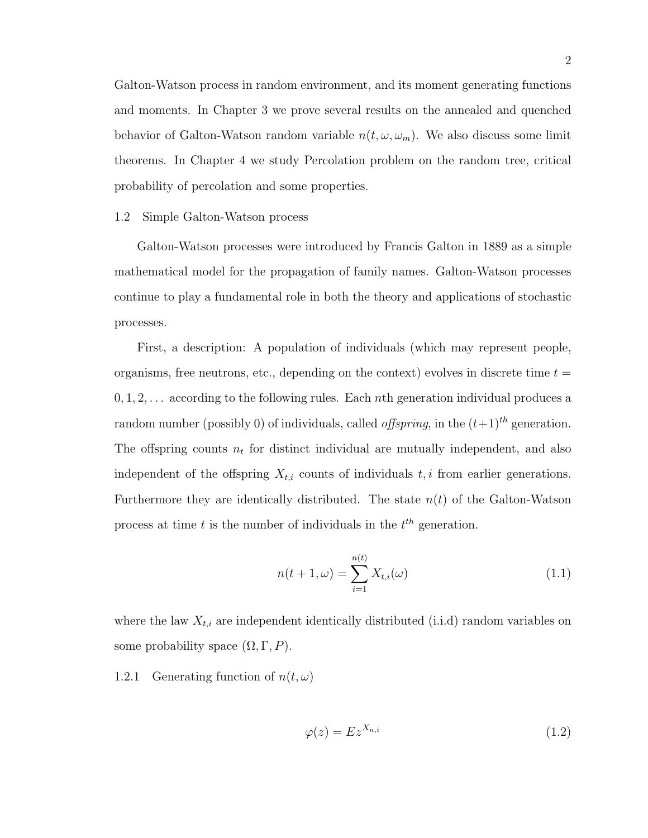Galton-Watson process in random environment, and its moment generating functions and moments. In Chapter 3 we prove several results on the annealed and quenched behavior of Galton-Watson random variable  $n(t, \omega, \omega_m)$ . We also discuss some limit theorems. In Chapter 4 we study Percolation problem on the random tree, critical probability of percolation and some properties.

### 1.2 Simple Galton-Watson process

Galton-Watson processes were introduced by Francis Galton in 1889 as a simple mathematical model for the propagation of family names. Galton-Watson processes continue to play a fundamental role in both the theory and applications of stochastic processes.

First, a description: A population of individuals (which may represent people, organisms, free neutrons, etc., depending on the context) evolves in discrete time  $t =$  $0, 1, 2, \ldots$  according to the following rules. Each nth generation individual produces a random number (possibly 0) of individuals, called *offspring*, in the  $(t+1)^{th}$  generation. The offspring counts  $n_t$  for distinct individual are mutually independent, and also independent of the offspring  $X_{t,i}$  counts of individuals  $t, i$  from earlier generations. Furthermore they are identically distributed. The state  $n(t)$  of the Galton-Watson process at time  $t$  is the number of individuals in the  $t^{th}$  generation.

$$
n(t+1,\omega) = \sum_{i=1}^{n(t)} X_{t,i}(\omega)
$$
\n(1.1)

where the law  $X_{t,i}$  are independent identically distributed (i.i.d) random variables on some probability space  $(\Omega, \Gamma, P)$ .

1.2.1 Generating function of  $n(t, \omega)$ 

$$
\varphi(z) = Ez^{X_{n,i}} \tag{1.2}
$$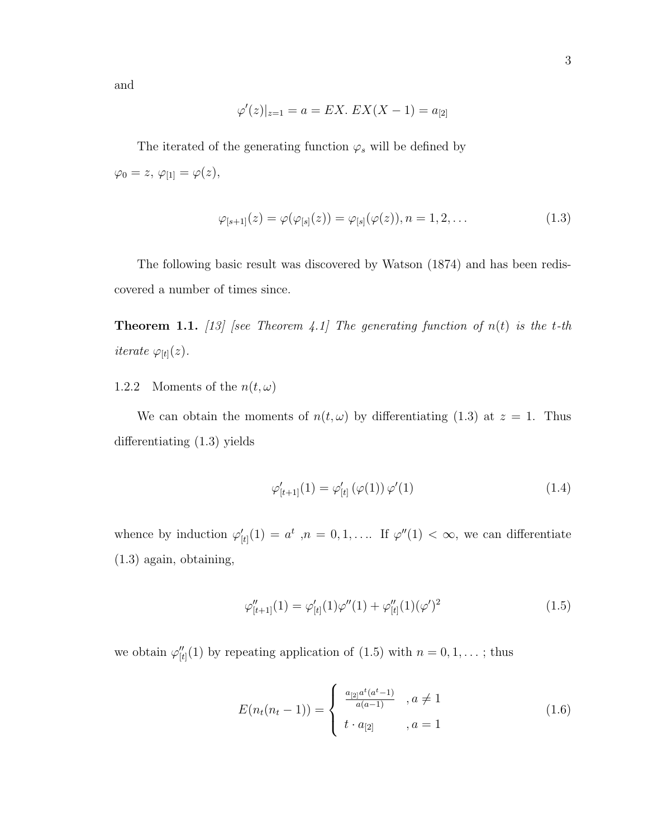and

$$
\varphi'(z)|_{z=1} = a = EX. \ EX(X - 1) = a_{[2]}
$$

The iterated of the generating function  $\varphi_s$  will be defined by  $\varphi_0 = z, \, \varphi_{[1]} = \varphi(z),$ 

$$
\varphi_{[s+1]}(z) = \varphi(\varphi_{[s]}(z)) = \varphi_{[s]}(\varphi(z)), n = 1, 2, \dots
$$
\n(1.3)

The following basic result was discovered by Watson (1874) and has been rediscovered a number of times since.

**Theorem 1.1.** [13] [see Theorem 4.1] The generating function of  $n(t)$  is the t-th iterate  $\varphi_{[t]}(z)$ .

1.2.2 Moments of the  $n(t, \omega)$ 

We can obtain the moments of  $n(t, \omega)$  by differentiating  $(1.3)$  at  $z = 1$ . Thus differentiating (1.3) yields

$$
\varphi'_{[t+1]}(1) = \varphi'_{[t]}(\varphi(1)) \varphi'(1) \tag{1.4}
$$

whence by induction  $\varphi'_{[t]}(1) = a^t$ ,  $n = 0, 1, \ldots$  If  $\varphi''(1) < \infty$ , we can differentiate (1.3) again, obtaining,

$$
\varphi''_{[t+1]}(1) = \varphi'_{[t]}(1)\varphi''(1) + \varphi''_{[t]}(1)(\varphi')^2
$$
\n(1.5)

we obtain  $\varphi''_{[t]}(1)$  by repeating application of  $(1.5)$  with  $n = 0, 1, \ldots$ ; thus

$$
E(n_t(n_t - 1)) = \begin{cases} \frac{a_{[2]}a^t(a^t - 1)}{a(a - 1)} & , a \neq 1\\ t \cdot a_{[2]} & , a = 1 \end{cases}
$$
 (1.6)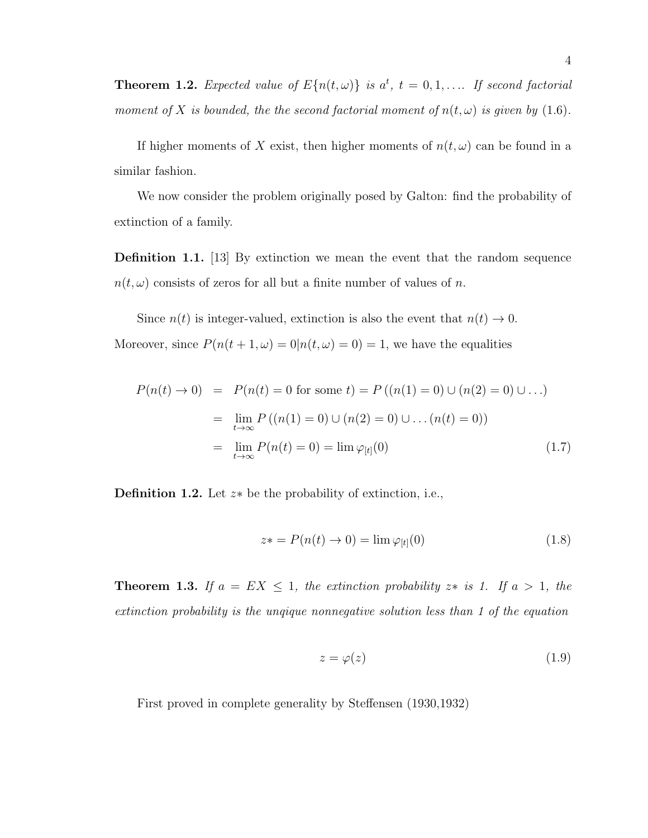**Theorem 1.2.** Expected value of  $E\{n(t, \omega)\}\$ is  $a^t$ ,  $t = 0, 1, \ldots$  If second factorial moment of X is bounded, the the second factorial moment of  $n(t, \omega)$  is given by (1.6).

If higher moments of X exist, then higher moments of  $n(t, \omega)$  can be found in a similar fashion.

We now consider the problem originally posed by Galton: find the probability of extinction of a family.

Definition 1.1. [13] By extinction we mean the event that the random sequence  $n(t, \omega)$  consists of zeros for all but a finite number of values of n.

Since  $n(t)$  is integer-valued, extinction is also the event that  $n(t) \to 0$ . Moreover, since  $P(n(t + 1, \omega) = 0 | n(t, \omega) = 0) = 1$ , we have the equalities

$$
P(n(t) \to 0) = P(n(t) = 0 \text{ for some } t) = P((n(1) = 0) \cup (n(2) = 0) \cup ...)
$$
  
= 
$$
\lim_{t \to \infty} P((n(1) = 0) \cup (n(2) = 0) \cup ... (n(t) = 0))
$$
  
= 
$$
\lim_{t \to \infty} P(n(t) = 0) = \lim \varphi_{[t]}(0)
$$
 (1.7)

Definition 1.2. Let z∗ be the probability of extinction, i.e.,

$$
z* = P(n(t) \to 0) = \lim \varphi_{[t]}(0)
$$
\n
$$
(1.8)
$$

**Theorem 1.3.** If  $a = EX \leq 1$ , the extinction probability  $z*$  is 1. If  $a > 1$ , the extinction probability is the unqique nonnegative solution less than 1 of the equation

$$
z = \varphi(z) \tag{1.9}
$$

First proved in complete generality by Steffensen (1930,1932)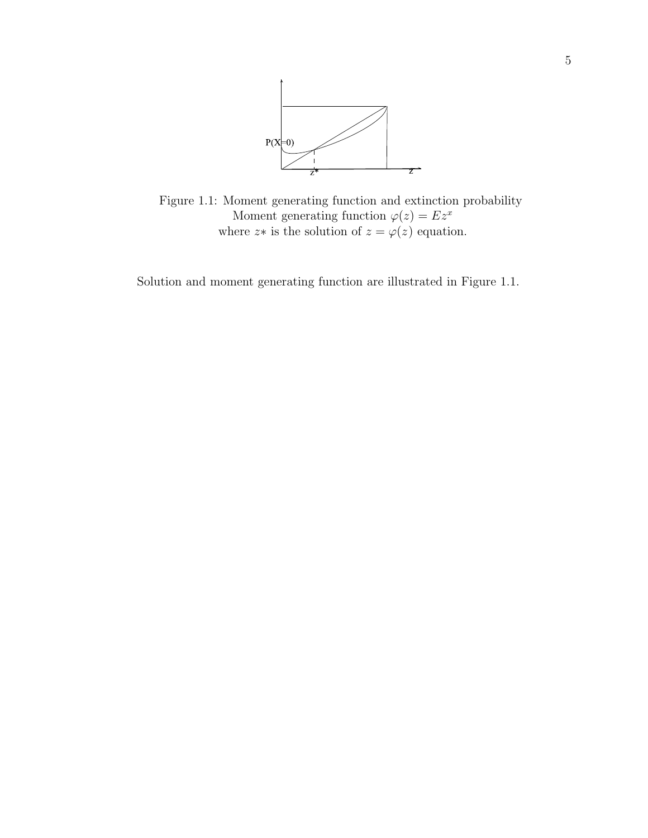

Figure 1.1: Moment generating function and extinction probability Moment generating function  $\varphi(z) = Ez^x$ where  $z*$  is the solution of  $z = \varphi(z)$  equation.

Solution and moment generating function are illustrated in Figure 1.1.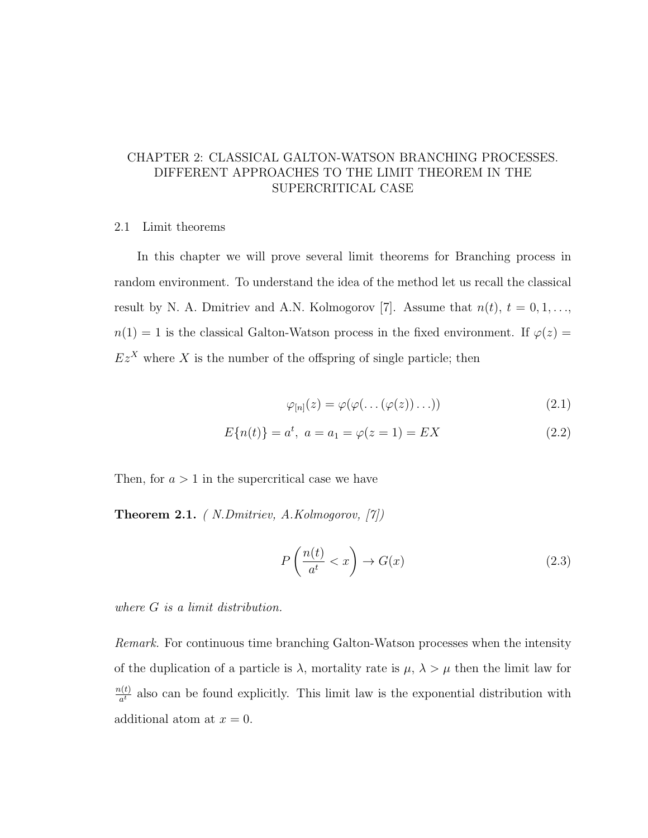# CHAPTER 2: CLASSICAL GALTON-WATSON BRANCHING PROCESSES. DIFFERENT APPROACHES TO THE LIMIT THEOREM IN THE SUPERCRITICAL CASE

## 2.1 Limit theorems

In this chapter we will prove several limit theorems for Branching process in random environment. To understand the idea of the method let us recall the classical result by N. A. Dmitriev and A.N. Kolmogorov [7]. Assume that  $n(t)$ ,  $t = 0, 1, \ldots$ ,  $n(1) = 1$  is the classical Galton-Watson process in the fixed environment. If  $\varphi(z) =$  $Ez<sup>X</sup>$  where X is the number of the offspring of single particle; then

$$
\varphi_{[n]}(z) = \varphi(\varphi(\dots(\varphi(z))\dots))\tag{2.1}
$$

$$
E{n(t)} = at, a = a1 = \varphi(z = 1) = EX
$$
\n(2.2)

Then, for  $a > 1$  in the supercritical case we have

Theorem 2.1. ( N.Dmitriev, A.Kolmogorov, [7])

$$
P\left(\frac{n(t)}{a^t} < x\right) \to G(x) \tag{2.3}
$$

where G is a limit distribution.

Remark. For continuous time branching Galton-Watson processes when the intensity of the duplication of a particle is  $\lambda$ , mortality rate is  $\mu$ ,  $\lambda > \mu$  then the limit law for  $n(t)$  $\frac{\partial (t)}{\partial t}$  also can be found explicitly. This limit law is the exponential distribution with additional atom at  $x = 0$ .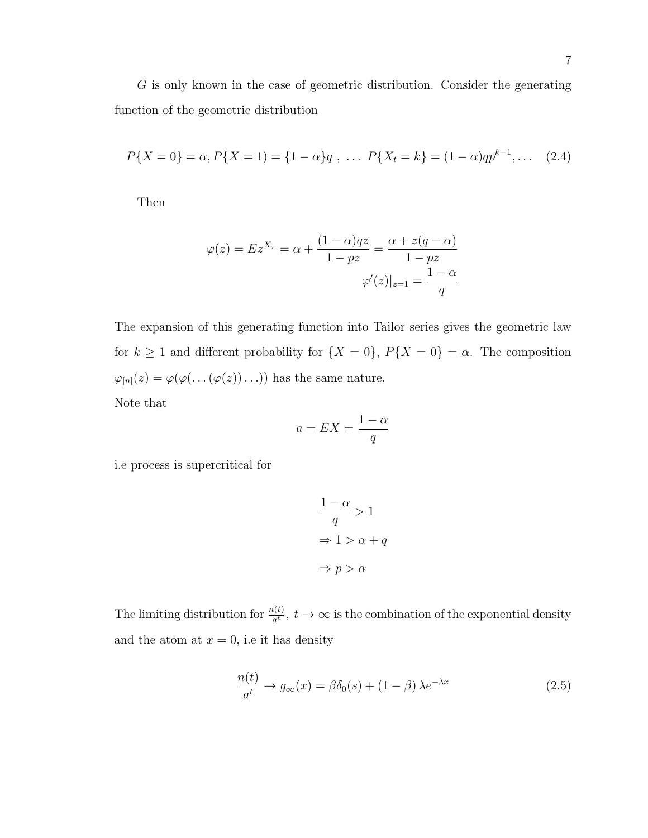G is only known in the case of geometric distribution. Consider the generating function of the geometric distribution

$$
P\{X=0\}=\alpha, P\{X=1\}=\{1-\alpha\}q \ , \ \dots \ P\{X_t=k\}=(1-\alpha)qp^{k-1}, \dots \quad (2.4)
$$

Then

$$
\varphi(z) = Ez^{X_{\tau}} = \alpha + \frac{(1 - \alpha)qz}{1 - pz} = \frac{\alpha + z(q - \alpha)}{1 - pz}
$$

$$
\varphi'(z)|_{z=1} = \frac{1 - \alpha}{q}
$$

The expansion of this generating function into Tailor series gives the geometric law for  $k \ge 1$  and different probability for  $\{X = 0\}$ ,  $P\{X = 0\} = \alpha$ . The composition  $\varphi_{[n]}(z) = \varphi(\varphi(\dots(\varphi(z))\dots))$  has the same nature.

Note that

$$
a = EX = \frac{1 - \alpha}{q}
$$

i.e process is supercritical for

$$
\frac{1-\alpha}{q} > 1
$$
  
\n
$$
\Rightarrow 1 > \alpha + q
$$
  
\n
$$
\Rightarrow p > \alpha
$$

The limiting distribution for  $\frac{n(t)}{a^t}$ ,  $t \to \infty$  is the combination of the exponential density and the atom at  $x = 0$ , i.e it has density

$$
\frac{n(t)}{a^t} \to g_{\infty}(x) = \beta \delta_0(s) + (1 - \beta) \lambda e^{-\lambda x}
$$
\n(2.5)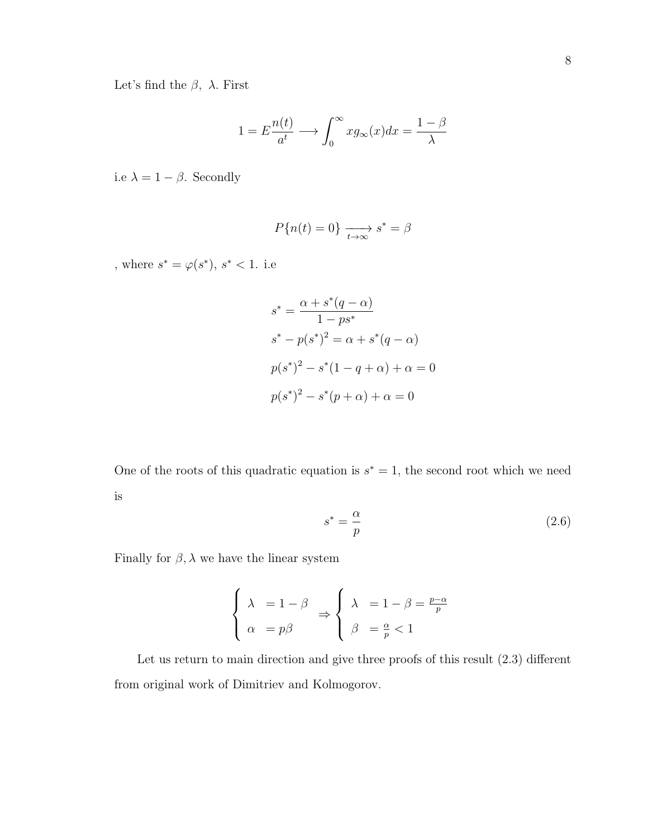Let's find the  $\beta$ ,  $\lambda$ . First

$$
1 = E \frac{n(t)}{a^t} \longrightarrow \int_0^\infty x g_\infty(x) dx = \frac{1 - \beta}{\lambda}
$$

i.e  $\lambda=1-\beta.$  Secondly

$$
P\{n(t)=0\}\xrightarrow[t\to\infty]{}s^*=\beta
$$

, where  $s^* = \varphi(s^*)$ ,  $s^* < 1$ . i.e

$$
s^* = \frac{\alpha + s^*(q - \alpha)}{1 - ps^*}
$$
  
\n
$$
s^* - p(s^*)^2 = \alpha + s^*(q - \alpha)
$$
  
\n
$$
p(s^*)^2 - s^*(1 - q + \alpha) + \alpha = 0
$$
  
\n
$$
p(s^*)^2 - s^*(p + \alpha) + \alpha = 0
$$

One of the roots of this quadratic equation is  $s^* = 1$ , the second root which we need is

$$
s^* = \frac{\alpha}{p} \tag{2.6}
$$

Finally for  $\beta$ ,  $\lambda$  we have the linear system

$$
\begin{cases} \lambda = 1 - \beta \\ \alpha = p\beta \end{cases} \Rightarrow \begin{cases} \lambda = 1 - \beta = \frac{p - \alpha}{p} \\ \beta = \frac{\alpha}{p} < 1 \end{cases}
$$

Let us return to main direction and give three proofs of this result (2.3) different from original work of Dimitriev and Kolmogorov.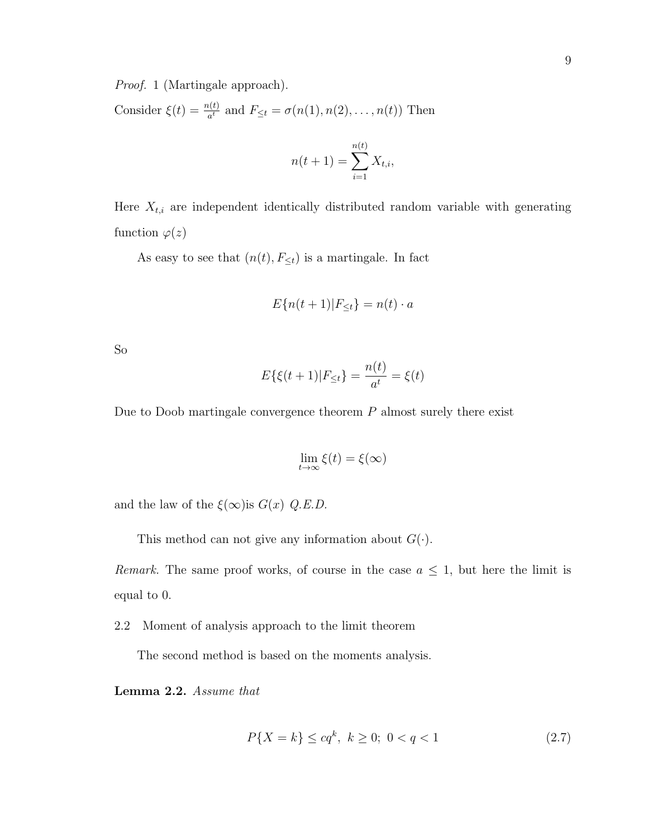Proof. 1 (Martingale approach).

Consider  $\xi(t) = \frac{n(t)}{a^t}$  and  $F_{\leq t} = \sigma(n(1), n(2), \dots, n(t))$  Then

$$
n(t+1) = \sum_{i=1}^{n(t)} X_{t,i},
$$

Here  $X_{t,i}$  are independent identically distributed random variable with generating function  $\varphi(z)$ 

As easy to see that  $(n(t), F_{\leq t})$  is a martingale. In fact

$$
E\{n(t+1)|F_{\leq t}\} = n(t) \cdot a
$$

So

$$
E\{\xi(t+1)|F_{\leq t}\} = \frac{n(t)}{a^t} = \xi(t)
$$

Due to Doob martingale convergence theorem  $P$  almost surely there exist

$$
\lim_{t \to \infty} \xi(t) = \xi(\infty)
$$

and the law of the  $\xi(\infty)$ is  $G(x)$  Q.E.D.

This method can not give any information about  $G(\cdot)$ .

Remark. The same proof works, of course in the case  $a \leq 1$ , but here the limit is equal to 0.

2.2 Moment of analysis approach to the limit theorem

The second method is based on the moments analysis.

Lemma 2.2. Assume that

$$
P\{X = k\} \le cq^k, \ k \ge 0; \ 0 < q < 1 \tag{2.7}
$$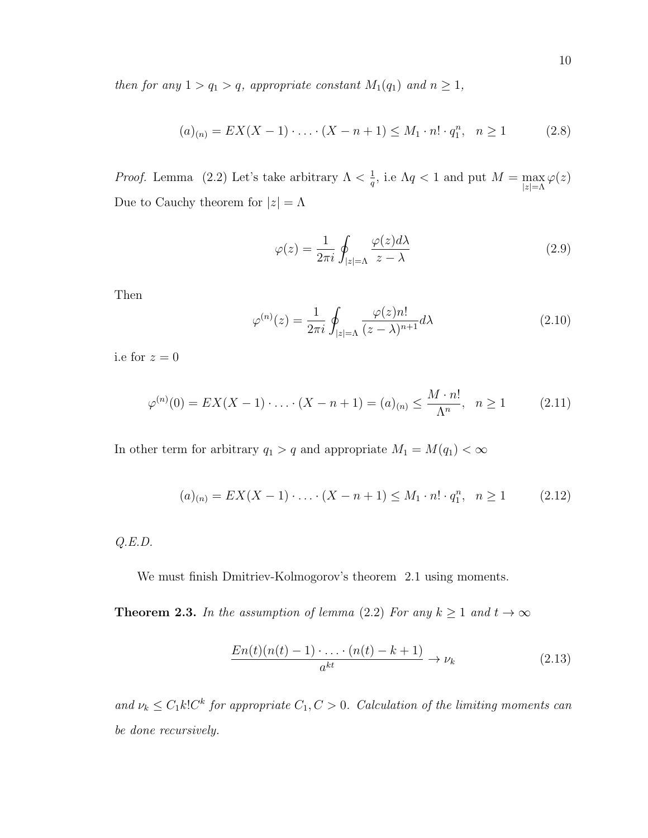then for any  $1 > q_1 > q$ , appropriate constant  $M_1(q_1)$  and  $n \geq 1$ ,

$$
(a)_{(n)} = EX(X - 1) \cdot \ldots \cdot (X - n + 1) \le M_1 \cdot n! \cdot q_1^n, \quad n \ge 1 \tag{2.8}
$$

*Proof.* Lemma (2.2) Let's take arbitrary  $\Lambda < \frac{1}{a}$  $\frac{1}{q}$ , i.e  $\Lambda q < 1$  and put  $M = \max_{|z| = \Lambda} \varphi(z)$ Due to Cauchy theorem for  $|z| = \Lambda$ 

$$
\varphi(z) = \frac{1}{2\pi i} \oint_{|z| = \Lambda} \frac{\varphi(z) d\lambda}{z - \lambda} \tag{2.9}
$$

Then

$$
\varphi^{(n)}(z) = \frac{1}{2\pi i} \oint_{|z|=\Lambda} \frac{\varphi(z)n!}{(z-\lambda)^{n+1}} d\lambda \tag{2.10}
$$

i.e for  $z=0$ 

$$
\varphi^{(n)}(0) = EX(X - 1) \cdot \ldots \cdot (X - n + 1) = (a)_{(n)} \le \frac{M \cdot n!}{\Lambda^n}, \quad n \ge 1 \tag{2.11}
$$

In other term for arbitrary  $q_1 > q$  and appropriate  $M_1 = M(q_1) < \infty$ 

$$
(a)_{(n)} = EX(X - 1) \cdot \ldots \cdot (X - n + 1) \le M_1 \cdot n! \cdot q_1^n, \quad n \ge 1 \tag{2.12}
$$

Q.E.D.

We must finish Dmitriev-Kolmogorov's theorem 2.1 using moments.

**Theorem 2.3.** In the assumption of lemma (2.2) For any  $k \ge 1$  and  $t \to \infty$ 

$$
\frac{En(t)(n(t)-1)\cdot \ldots \cdot (n(t)-k+1)}{a^{kt}} \to \nu_k
$$
\n(2.13)

and  $\nu_k \leq C_1 k! C^k$  for appropriate  $C_1, C > 0$ . Calculation of the limiting moments can be done recursively.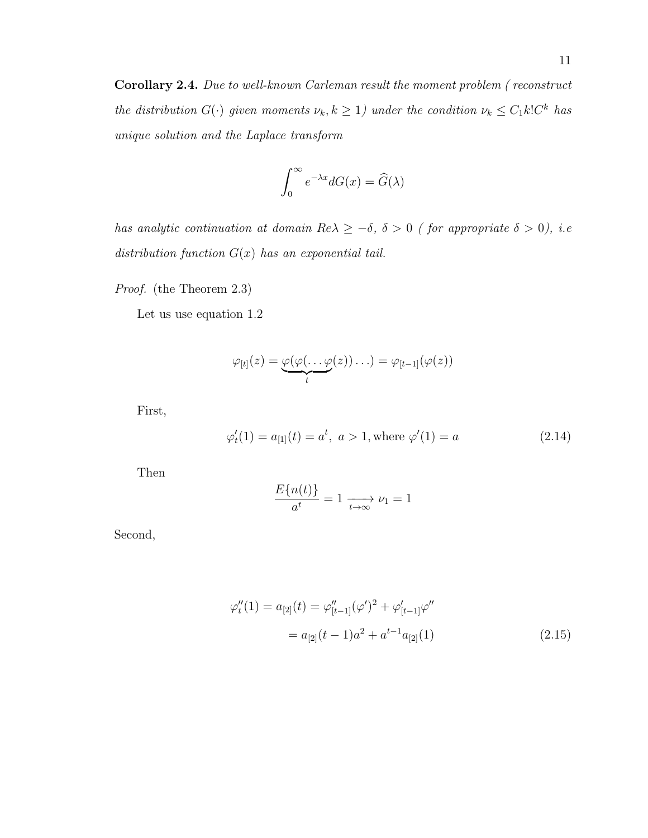Corollary 2.4. Due to well-known Carleman result the moment problem ( reconstruct the distribution  $G(\cdot)$  given moments  $\nu_k, k \geq 1$ ) under the condition  $\nu_k \leq C_1 k! C^k$  has unique solution and the Laplace transform

$$
\int_0^\infty e^{-\lambda x} dG(x) = \widehat{G}(\lambda)
$$

has analytic continuation at domain  $Re\lambda \geq -\delta$ ,  $\delta > 0$  (for appropriate  $\delta > 0$ ), i.e. distribution function  $G(x)$  has an exponential tail.

Proof. (the Theorem 2.3)

Let us use equation 1.2

$$
\varphi_{[t]}(z) = \underbrace{\varphi(\varphi(\ldots \varphi(z))\ldots)}_t = \varphi_{[t-1]}(\varphi(z))
$$

First,

$$
\varphi'_t(1) = a_{[1]}(t) = a^t, \quad a > 1
$$
, where  $\varphi'(1) = a$  (2.14)

Then

$$
\frac{E\{n(t)\}}{a^t} = 1 \xrightarrow[t \to \infty]{} \nu_1 = 1
$$

Second,

$$
\varphi''_t(1) = a_{[2]}(t) = \varphi''_{[t-1]}(\varphi')^2 + \varphi'_{[t-1]} \varphi''
$$
  
=  $a_{[2]}(t-1)a^2 + a^{t-1} a_{[2]}(1)$  (2.15)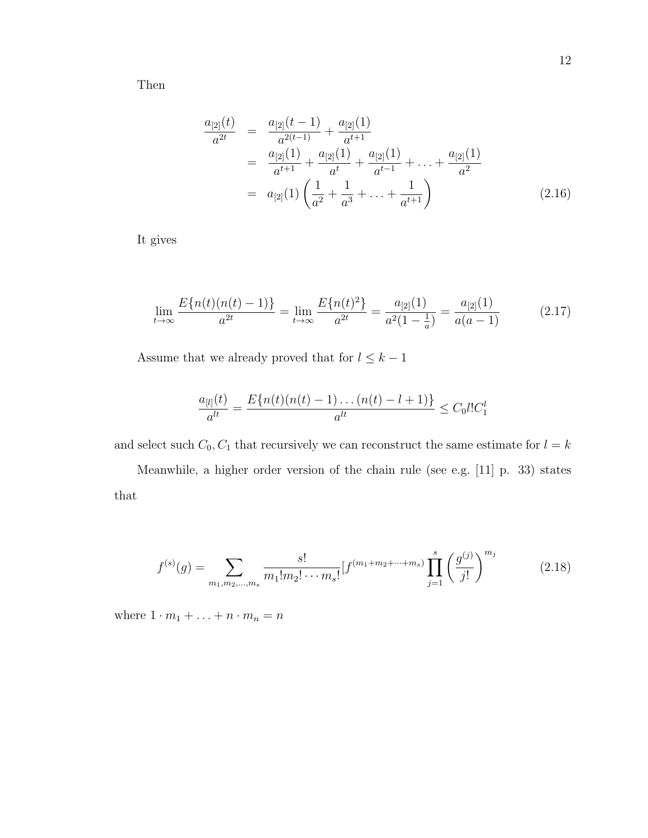Then

$$
\frac{a_{[2]}(t)}{a^{2t}} = \frac{a_{[2]}(t-1)}{a^{2(t-1)}} + \frac{a_{[2]}(1)}{a^{t+1}}
$$
\n
$$
= \frac{a_{[2]}(1)}{a^{t+1}} + \frac{a_{[2]}(1)}{a^{t}} + \frac{a_{[2]}(1)}{a^{t-1}} + \dots + \frac{a_{[2]}(1)}{a^{2}}
$$
\n
$$
= a_{[2]}(1) \left( \frac{1}{a^{2}} + \frac{1}{a^{3}} + \dots + \frac{1}{a^{t+1}} \right)
$$
\n(2.16)

It gives

$$
\lim_{t \to \infty} \frac{E\{n(t)(n(t) - 1)\}}{a^{2t}} = \lim_{t \to \infty} \frac{E\{n(t)^2\}}{a^{2t}} = \frac{a_{[2]}(1)}{a^2(1 - \frac{1}{a})} = \frac{a_{[2]}(1)}{a(a - 1)}
$$
(2.17)

Assume that we already proved that for  $l\leq k-1$ 

$$
\frac{a_{[l]}(t)}{a^{lt}} = \frac{E\{n(t)(n(t) - 1)\dots(n(t) - l + 1)\}}{a^{lt}} \leq C_0 l! C_1^l
$$

and select such  $C_0, C_1$  that recursively we can reconstruct the same estimate for  $l = k$ 

Meanwhile, a higher order version of the chain rule (see e.g. [11] p. 33) states that

$$
f^{(s)}(g) = \sum_{m_1, m_2, \dots, m_s} \frac{s!}{m_1! m_2! \cdots m_s!} [f^{(m_1 + m_2 + \cdots + m_s)} \prod_{j=1}^s \left(\frac{g^{(j)}}{j!}\right)^{m_j} \tag{2.18}
$$

where  $1\cdot m_1+\ldots+n\cdot m_n=n$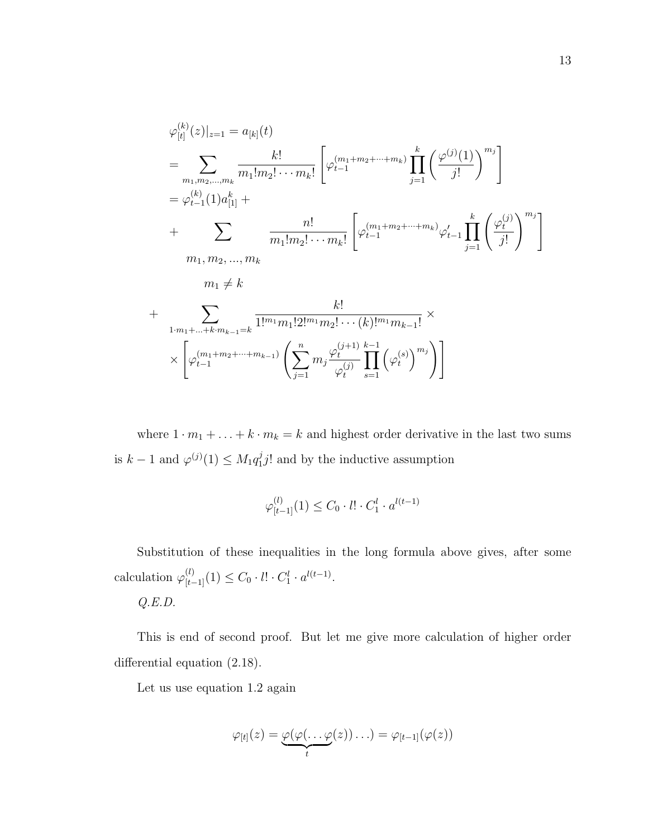$$
\varphi_{[t]}^{(k)}(z)|_{z=1} = a_{[k]}(t)
$$
\n
$$
= \sum_{m_1, m_2, \dots, m_k} \frac{k!}{m_1! m_2! \cdots m_k!} \left[ \varphi_{t-1}^{(m_1+m_2+\cdots+m_k)} \prod_{j=1}^k \left( \frac{\varphi^{(j)}(1)}{j!} \right)^{m_j} \right]
$$
\n
$$
= \varphi_{t-1}^{(k)}(1) a_{[1]}^k + \sum_{m_1, m_2, \dots, m_k} \frac{n!}{m_1! m_2! \cdots m_k!} \left[ \varphi_{t-1}^{(m_1+m_2+\cdots+m_k)} \varphi_{t-1}' \prod_{j=1}^k \left( \frac{\varphi_t^{(j)}}{j!} \right)^{m_j} \right]
$$
\n
$$
m_1 \neq k
$$
\n
$$
+ \sum_{1 \cdot m_1 + \dots + k \cdot m_{k-1} = k} \frac{k!}{1!^{m_1} m_1! 2!^{m_1} m_2! \cdots (k)!^{m_1} m_{k-1}!} \times \left[ \varphi_{t-1}^{(m_1+m_2+\cdots+m_{k-1})} \left( \sum_{j=1}^n m_j \frac{\varphi_t^{(j+1)}}{\varphi_t^{(j)}} \prod_{s=1}^{k-1} \left( \varphi_t^{(s)} \right)^{m_j} \right) \right]
$$

where  $1 \cdot m_1 + \ldots + k \cdot m_k = k$  and highest order derivative in the last two sums is  $k-1$  and  $\varphi^{(j)}(1) \leq M_1 q_1^j$  $j_1^j$  and by the inductive assumption

$$
\varphi_{[t-1]}^{(l)}(1) \le C_0 \cdot l! \cdot C_1^l \cdot a^{l(t-1)}
$$

Substitution of these inequalities in the long formula above gives, after some calculation  $\varphi_{[t-1]}^{(l)}(1) \leq C_0 \cdot l! \cdot C_1^l \cdot a^{l(t-1)}$ . Q.E.D.

This is end of second proof. But let me give more calculation of higher order differential equation (2.18).

Let us use equation 1.2 again

$$
\varphi_{[t]}(z) = \underbrace{\varphi(\varphi(\ldots \varphi(z))\ldots)}_t = \varphi_{[t-1]}(\varphi(z))
$$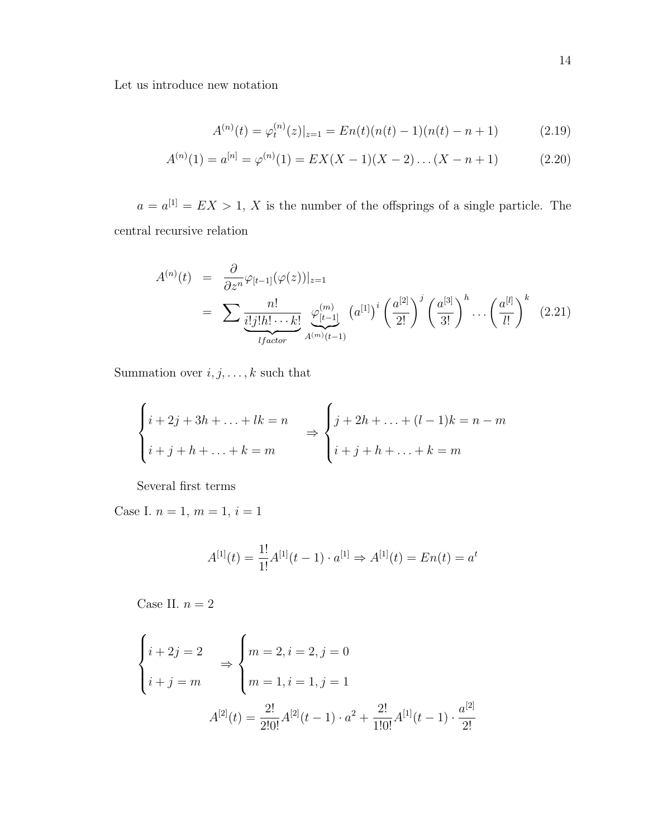Let us introduce new notation

$$
A^{(n)}(t) = \varphi_t^{(n)}(z)|_{z=1} = En(t)(n(t) - 1)(n(t) - n + 1)
$$
\n(2.19)

$$
A^{(n)}(1) = a^{[n]} = \varphi^{(n)}(1) = EX(X - 1)(X - 2) \dots (X - n + 1)
$$
 (2.20)

 $a = a^{[1]} = EX > 1, X$  is the number of the offsprings of a single particle. The central recursive relation

$$
A^{(n)}(t) = \frac{\partial}{\partial z^n} \varphi_{[t-1]}(\varphi(z))|_{z=1}
$$
  
= 
$$
\sum \frac{n!}{\underbrace{i! j! h! \cdots k!}_{lfactor} \varphi_{[t-1]}^{(m)}} (a^{[1]})^i \left(\frac{a^{[2]}}{2!}\right)^j \left(\frac{a^{[3]}}{3!}\right)^h \cdots \left(\frac{a^{[l]}}{l!}\right)^k (2.21)
$$

Summation over  $i,j,\ldots,k$  such that

$$
\begin{cases}\ni + 2j + 3h + \dots + lk = n \\
i + j + h + \dots + k = m\n\end{cases}\n\Rightarrow\n\begin{cases}\nj + 2h + \dots + (l-1)k = n - m \\
i + j + h + \dots + k = m\n\end{cases}
$$

Several first terms

Case I. $n=1,\,m=1,\,i=1$ 

$$
A^{[1]}(t) = \frac{1!}{1!}A^{[1]}(t-1) \cdot a^{[1]} \Rightarrow A^{[1]}(t) = En(t) = a^t
$$

Case II. $n=2$ 

$$
\begin{cases}\ni + 2j = 2 \\
i + j = m\n\end{cases}\n\Rightarrow\n\begin{cases}\nm = 2, i = 2, j = 0 \\
m = 1, i = 1, j = 1\n\end{cases}
$$
\n
$$
A^{[2]}(t) = \frac{2!}{2!0!}A^{[2]}(t - 1) \cdot a^2 + \frac{2!}{1!0!}A^{[1]}(t - 1) \cdot \frac{a^{[2]}}{2!}
$$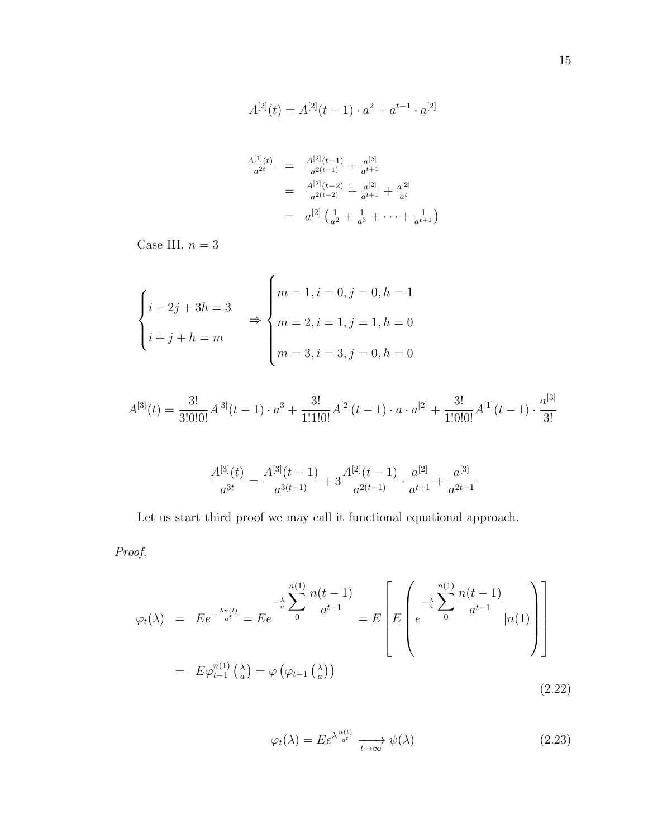$$
A^{[2]}(t) = A^{[2]}(t-1) \cdot a^2 + a^{t-1} \cdot a^{[2]}
$$

$$
\frac{A^{[1]}(t)}{a^{2t}} = \frac{A^{[2]}(t-1)}{a^{2(t-1)}} + \frac{a^{[2]}}{a^{t+1}}
$$
\n
$$
= \frac{A^{[2]}(t-2)}{a^{2(t-2)}} + \frac{a^{[2]}}{a^{t+1}} + \frac{a^{[2]}}{a^t}
$$
\n
$$
= a^{[2]} \left(\frac{1}{a^2} + \frac{1}{a^3} + \dots + \frac{1}{a^{t+1}}\right)
$$

Case III. $n=3$ 

$$
\begin{cases}\ni + 2j + 3h = 3 \\
i + j + h = m\n\end{cases}\n\Rightarrow\n\begin{cases}\nm = 1, i = 0, j = 0, h = 1 \\
m = 2, i = 1, j = 1, h = 0 \\
m = 3, i = 3, j = 0, h = 0\n\end{cases}
$$

$$
A^{[3]}(t) = \frac{3!}{3!0!0!}A^{[3]}(t-1) \cdot a^3 + \frac{3!}{1!1!0!}A^{[2]}(t-1) \cdot a \cdot a^{[2]} + \frac{3!}{1!0!0!}A^{[1]}(t-1) \cdot \frac{a^{[3]}}{3!}
$$

$$
\frac{A^{[3]}(t)}{a^{3t}} = \frac{A^{[3]}(t-1)}{a^{3(t-1)}} + 3\frac{A^{[2]}(t-1)}{a^{2(t-1)}} \cdot \frac{a^{[2]}}{a^{t+1}} + \frac{a^{[3]}}{a^{2t+1}}
$$

Let us start third proof we may call it functional equational approach.

Proof.

$$
\varphi_t(\lambda) = E e^{-\frac{\lambda n(t)}{a^t}} = E e^{-\frac{\lambda}{a} \sum_{i=0}^{n(1)} \frac{n(t-1)}{a^{t-1}}} = E \left[ E \left( e^{-\frac{\lambda}{a} \sum_{i=0}^{n(1)} \frac{n(t-1)}{a^{t-1}}} |n(1) \right) \right]
$$

$$
= E \varphi_{t-1}^{n(1)} \left( \frac{\lambda}{a} \right) = \varphi \left( \varphi_{t-1} \left( \frac{\lambda}{a} \right) \right)
$$
(2.22)

$$
\varphi_t(\lambda) = E e^{\lambda \frac{n(t)}{a^t}} \xrightarrow[t \to \infty]{} \psi(\lambda)
$$
\n(2.23)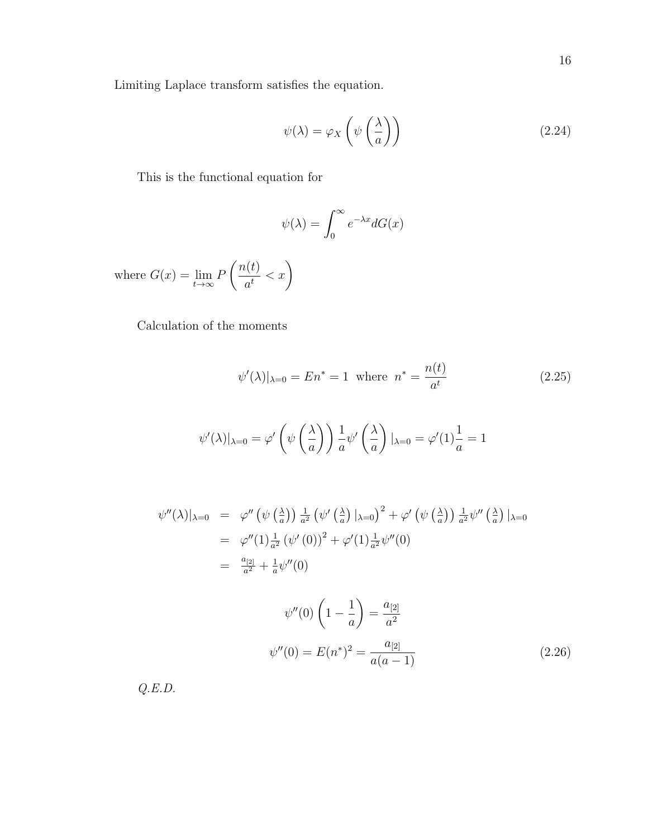Limiting Laplace transform satisfies the equation.

$$
\psi(\lambda) = \varphi_X\left(\psi\left(\frac{\lambda}{a}\right)\right) \tag{2.24}
$$

This is the functional equation for

$$
\psi(\lambda) = \int_0^\infty e^{-\lambda x} dG(x)
$$

where  $G(x) = \lim_{t \to \infty} F$  $\bigcap_{t=1}^n$  $\frac{c(t)}{a^t} < x$ 

Calculation of the moments

$$
\psi'(\lambda)|_{\lambda=0} = En^* = 1
$$
 where  $n^* = \frac{n(t)}{a^t}$  (2.25)

$$
\psi'(\lambda)|_{\lambda=0} = \varphi' \left( \psi \left( \frac{\lambda}{a} \right) \right) \frac{1}{a} \psi' \left( \frac{\lambda}{a} \right) |_{\lambda=0} = \varphi'(1) \frac{1}{a} = 1
$$

$$
\psi''(\lambda)|_{\lambda=0} = \varphi''(\psi\left(\frac{\lambda}{a}\right)) \frac{1}{a^2} (\psi'\left(\frac{\lambda}{a}\right)|_{\lambda=0})^2 + \varphi'\left(\psi\left(\frac{\lambda}{a}\right)\right) \frac{1}{a^2} \psi''\left(\frac{\lambda}{a}\right)|_{\lambda=0}
$$
  

$$
= \varphi''(1) \frac{1}{a^2} (\psi'(0))^2 + \varphi'(1) \frac{1}{a^2} \psi''(0)
$$
  

$$
= \frac{a_{[2]}}{a^2} + \frac{1}{a} \psi''(0)
$$

$$
\psi''(0) \left(1 - \frac{1}{a}\right) = \frac{a_{[2]}}{a^2}
$$

$$
\psi''(0) = E(n^*)^2 = \frac{a_{[2]}}{a(a-1)}
$$
(2.26)

Q.E.D.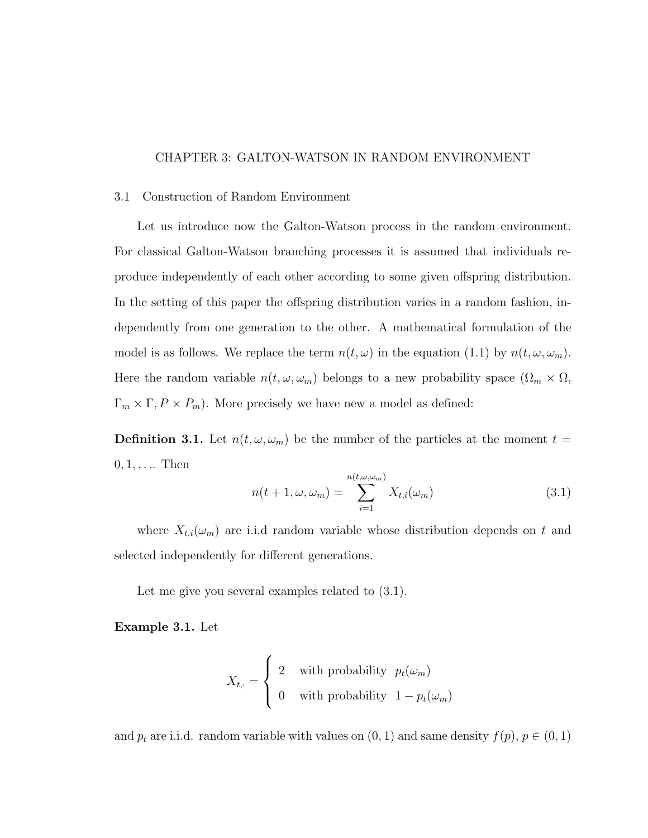## CHAPTER 3: GALTON-WATSON IN RANDOM ENVIRONMENT

#### 3.1 Construction of Random Environment

Let us introduce now the Galton-Watson process in the random environment. For classical Galton-Watson branching processes it is assumed that individuals reproduce independently of each other according to some given offspring distribution. In the setting of this paper the offspring distribution varies in a random fashion, independently from one generation to the other. A mathematical formulation of the model is as follows. We replace the term  $n(t, \omega)$  in the equation (1.1) by  $n(t, \omega, \omega_m)$ . Here the random variable  $n(t, \omega, \omega_m)$  belongs to a new probability space  $(\Omega_m \times \Omega, \omega_m)$  $\Gamma_m \times \Gamma, P \times P_m$ ). More precisely we have new a model as defined:

**Definition 3.1.** Let  $n(t, \omega, \omega_m)$  be the number of the particles at the moment  $t =$  $0, 1, \ldots$  Then

$$
n(t+1,\omega,\omega_m) = \sum_{i=1}^{n(t,\omega,\omega_m)} X_{t,i}(\omega_m)
$$
\n(3.1)

where  $X_{t,i}(\omega_m)$  are i.i.d random variable whose distribution depends on t and selected independently for different generations.

Let me give you several examples related to  $(3.1)$ .

Example 3.1. Let

$$
X_{t,\cdot} = \begin{cases} 2 & \text{with probability} \quad p_t(\omega_m) \\ 0 & \text{with probability} \quad 1 - p_t(\omega_m) \end{cases}
$$

and  $p_t$  are i.i.d. random variable with values on  $(0, 1)$  and same density  $f(p)$ ,  $p \in (0, 1)$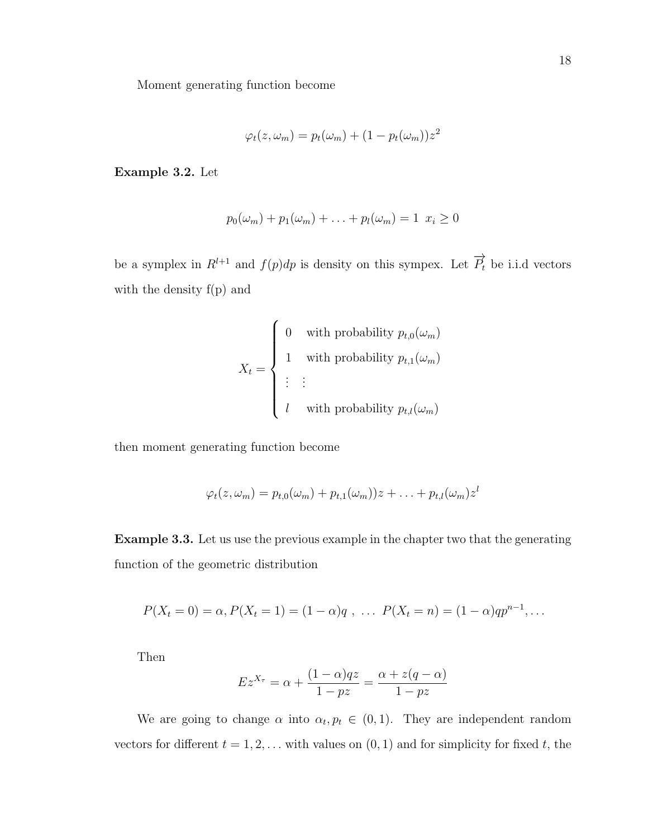Moment generating function become

$$
\varphi_t(z, \omega_m) = p_t(\omega_m) + (1 - p_t(\omega_m))z^2
$$

Example 3.2. Let

$$
p_0(\omega_m) + p_1(\omega_m) + \ldots + p_l(\omega_m) = 1 \ x_i \ge 0
$$

be a symplex in  $R^{l+1}$  and  $f(p)dp$  is density on this sympex. Let  $\overrightarrow{P}_t$  be i.i.d vectors with the density f(p) and

$$
X_t = \begin{cases} 0 & \text{with probability } p_{t,0}(\omega_m) \\ 1 & \text{with probability } p_{t,1}(\omega_m) \\ \vdots & \vdots \\ l & \text{with probability } p_{t,l}(\omega_m) \end{cases}
$$

then moment generating function become

$$
\varphi_t(z,\omega_m)=p_{t,0}(\omega_m)+p_{t,1}(\omega_m))z+\ldots+p_{t,l}(\omega_m)z^l
$$

Example 3.3. Let us use the previous example in the chapter two that the generating function of the geometric distribution

$$
P(X_t = 0) = \alpha, P(X_t = 1) = (1 - \alpha)q, \ldots P(X_t = n) = (1 - \alpha)qp^{n-1}, \ldots
$$

Then

$$
Ez^{X_{\tau}} = \alpha + \frac{(1-\alpha)qz}{1-pz} = \frac{\alpha + z(q-\alpha)}{1-pz}
$$

We are going to change  $\alpha$  into  $\alpha_t, p_t \in (0,1)$ . They are independent random vectors for different  $t = 1, 2, \ldots$  with values on  $(0, 1)$  and for simplicity for fixed t, the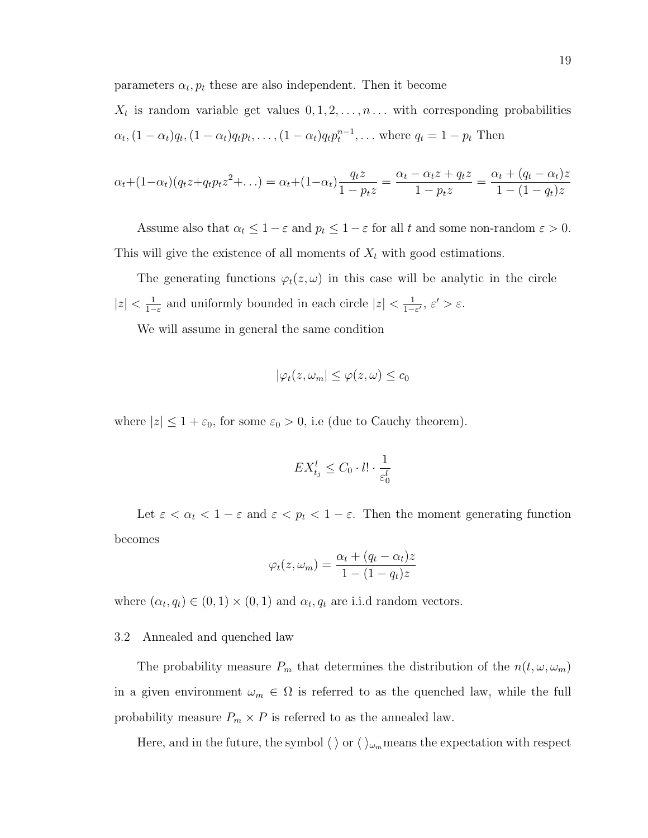parameters  $\alpha_t, p_t$  these are also independent. Then it become

 $X_t$  is random variable get values  $0, 1, 2, \ldots, n \ldots$  with corresponding probabilities  $\alpha_t$ ,  $(1 - \alpha_t)q_t$ ,  $(1 - \alpha_t)q_t p_t$ , ...,  $(1 - \alpha_t)q_t p_t^{n-1}$ , ... where  $q_t = 1 - p_t$  Then

$$
\alpha_t + (1 - \alpha_t)(q_t z + q_t p_t z^2 + \dots) = \alpha_t + (1 - \alpha_t) \frac{q_t z}{1 - p_t z} = \frac{\alpha_t - \alpha_t z + q_t z}{1 - p_t z} = \frac{\alpha_t + (q_t - \alpha_t)z}{1 - (1 - q_t)z}
$$

Assume also that  $\alpha_t \leq 1 - \varepsilon$  and  $p_t \leq 1 - \varepsilon$  for all t and some non-random  $\varepsilon > 0$ . This will give the existence of all moments of  $X_t$  with good estimations.

The generating functions  $\varphi_t(z,\omega)$  in this case will be analytic in the circle  $|z| < \frac{1}{1}$  $\frac{1}{1-\varepsilon}$  and uniformly bounded in each circle  $|z| < \frac{1}{1-\varepsilon}$  $\frac{1}{1-\varepsilon'}$ ,  $\varepsilon' > \varepsilon$ .

We will assume in general the same condition

$$
|\varphi_t(z, \omega_m| \le \varphi(z, \omega) \le c_0
$$

where  $|z| \leq 1 + \varepsilon_0$ , for some  $\varepsilon_0 > 0$ , i.e (due to Cauchy theorem).

$$
EX_{t_j}^l \le C_0 \cdot l! \cdot \frac{1}{\varepsilon_0^l}
$$

Let  $\varepsilon < \alpha_t < 1 - \varepsilon$  and  $\varepsilon < p_t < 1 - \varepsilon$ . Then the moment generating function becomes

$$
\varphi_t(z, \omega_m) = \frac{\alpha_t + (q_t - \alpha_t)z}{1 - (1 - q_t)z}
$$

where  $(\alpha_t, q_t) \in (0, 1) \times (0, 1)$  and  $\alpha_t, q_t$  are i.i.d random vectors.

#### 3.2 Annealed and quenched law

The probability measure  $P_m$  that determines the distribution of the  $n(t, \omega, \omega_m)$ in a given environment  $\omega_m \in \Omega$  is referred to as the quenched law, while the full probability measure  $P_m \times P$  is referred to as the annealed law.

Here, and in the future, the symbol  $\langle \ \rangle$  or  $\langle \ \rangle_{\omega_m}$  means the expectation with respect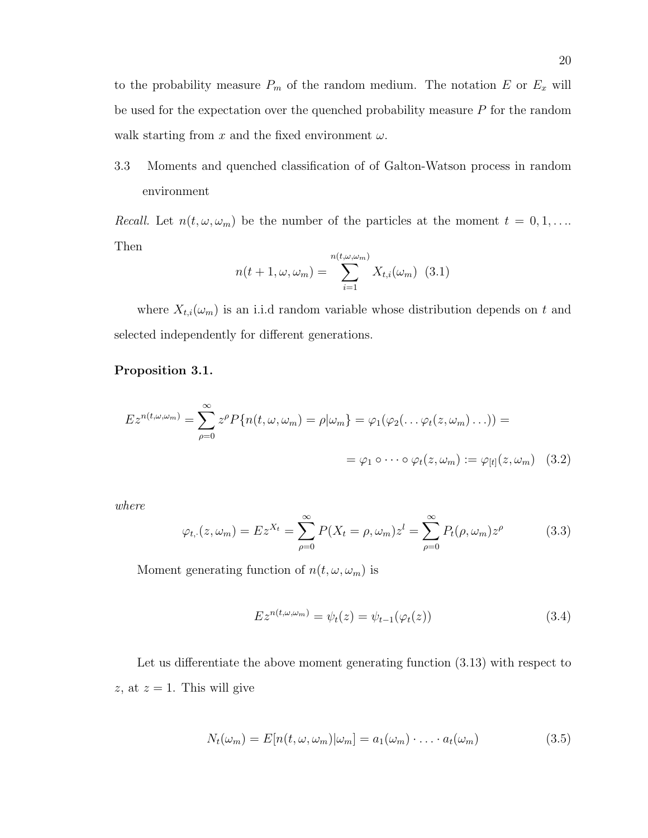to the probability measure  $P_m$  of the random medium. The notation E or  $E_x$  will be used for the expectation over the quenched probability measure P for the random walk starting from x and the fixed environment  $\omega$ .

3.3 Moments and quenched classification of of Galton-Watson process in random environment

*Recall.* Let  $n(t, \omega, \omega_m)$  be the number of the particles at the moment  $t = 0, 1, \ldots$ Then

$$
n(t+1,\omega,\omega_m) = \sum_{i=1}^{n(t,\omega,\omega_m)} X_{t,i}(\omega_m) \quad (3.1)
$$

where  $X_{t,i}(\omega_m)$  is an i.i.d random variable whose distribution depends on t and selected independently for different generations.

### Proposition 3.1.

$$
E z^{n(t,\omega,\omega_m)} = \sum_{\rho=0}^{\infty} z^{\rho} P\{n(t,\omega,\omega_m) = \rho |\omega_m\} = \varphi_1(\varphi_2(\dots \varphi_t(z,\omega_m) \dots)) =
$$
  
=  $\varphi_1 \circ \dots \circ \varphi_t(z,\omega_m) := \varphi_{[t]}(z,\omega_m)$  (3.2)

where

$$
\varphi_{t,\cdot}(z,\omega_m) = Ez^{X_t} = \sum_{\rho=0}^{\infty} P(X_t = \rho, \omega_m) z^l = \sum_{\rho=0}^{\infty} P_t(\rho, \omega_m) z^{\rho}
$$
(3.3)

Moment generating function of  $n(t, \omega, \omega_m)$  is

$$
Ez^{n(t,\omega,\omega_m)} = \psi_t(z) = \psi_{t-1}(\varphi_t(z))
$$
\n(3.4)

Let us differentiate the above moment generating function (3.13) with respect to z, at  $z = 1$ . This will give

$$
N_t(\omega_m) = E[n(t, \omega, \omega_m)|\omega_m] = a_1(\omega_m) \cdot \ldots \cdot a_t(\omega_m)
$$
\n(3.5)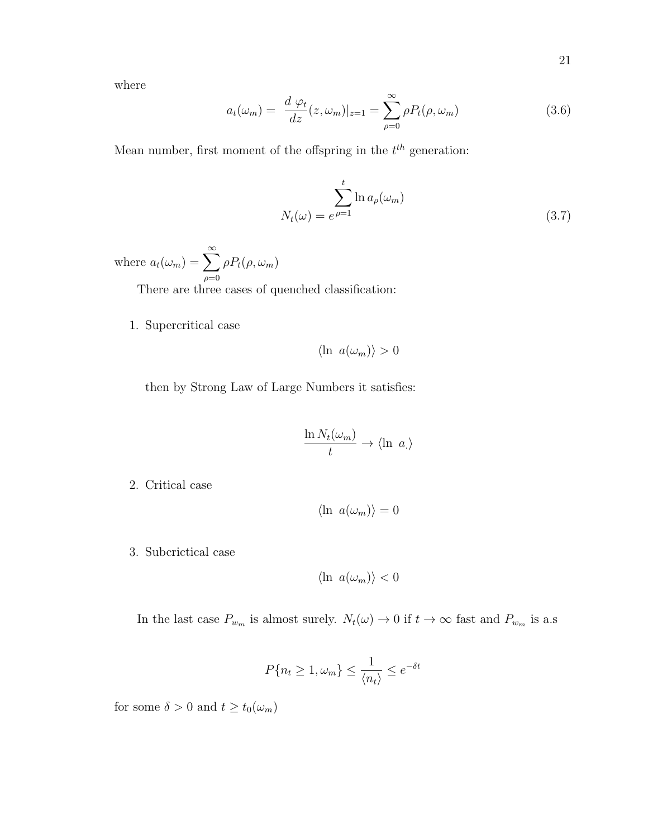where

$$
a_t(\omega_m) = \frac{d \varphi_t}{dz}(z, \omega_m)|_{z=1} = \sum_{\rho=0}^{\infty} \rho P_t(\rho, \omega_m)
$$
(3.6)

Mean number, first moment of the offspring in the  $t<sup>th</sup>$  generation:

$$
N_t(\omega) = e^{\rho = 1} \ln a_\rho(\omega_m)
$$
\n(3.7)

where  $a_t(\omega_m) = \sum_{n=0}^{\infty}$  $\rho=0$  $\rho P_t(\rho, \omega_m)$ 

There are three cases of quenched classification:

1. Supercritical case

$$
\langle \ln a(\omega_m) \rangle > 0
$$

then by Strong Law of Large Numbers it satisfies:

$$
\frac{\ln N_t(\omega_m)}{t} \to \langle \ln a \rangle
$$

2. Critical case

$$
\langle \ln a(\omega_m) \rangle = 0
$$

3. Subcrictical case

$$
\langle \ln a(\omega_m) \rangle < 0
$$

In the last case  $P_{w_m}$  is almost surely.  $N_t(\omega) \to 0$  if  $t \to \infty$  fast and  $P_{w_m}$  is a.s

$$
P\{n_t \ge 1, \omega_m\} \le \frac{1}{\langle n_t \rangle} \le e^{-\delta t}
$$

for some  $\delta>0$  and  $t\geq t_0(\omega_m)$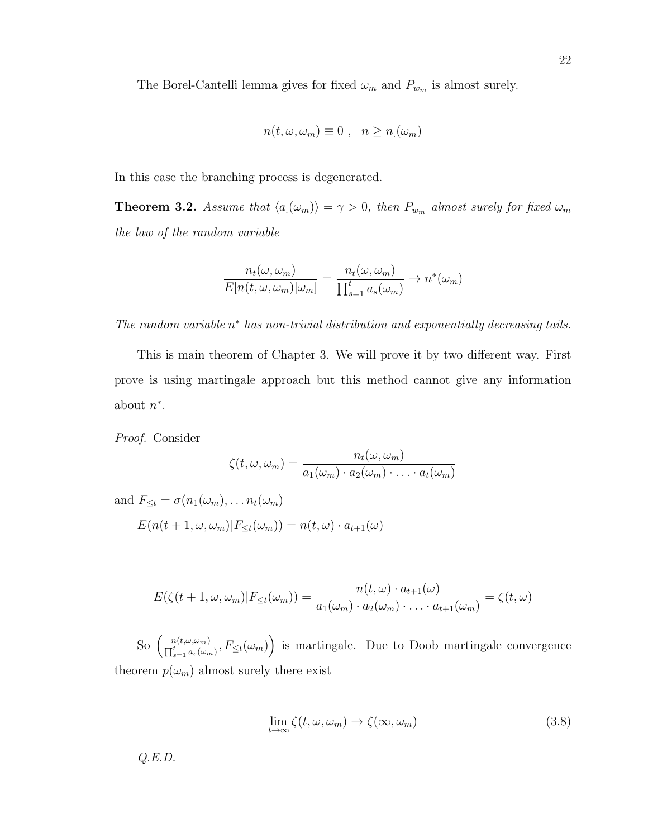The Borel-Cantelli lemma gives for fixed  $\omega_m$  and  $P_{w_m}$  is almost surely.

$$
n(t, \omega, \omega_m) \equiv 0 , \quad n \ge n \ (\omega_m)
$$

In this case the branching process is degenerated.

**Theorem 3.2.** Assume that  $\langle a_{\mu}(w_m) \rangle = \gamma > 0$ , then  $P_{w_m}$  almost surely for fixed  $\omega_m$ the law of the random variable

$$
\frac{n_t(\omega, \omega_m)}{E[n(t, \omega, \omega_m)|\omega_m]} = \frac{n_t(\omega, \omega_m)}{\prod_{s=1}^t a_s(\omega_m)} \to n^*(\omega_m)
$$

The random variable  $n^*$  has non-trivial distribution and exponentially decreasing tails.

This is main theorem of Chapter 3. We will prove it by two different way. First prove is using martingale approach but this method cannot give any information about  $n^*$ .

Proof. Consider

$$
\zeta(t,\omega,\omega_m)=\frac{n_t(\omega,\omega_m)}{a_1(\omega_m)\cdot a_2(\omega_m)\cdot\ldots\cdot a_t(\omega_m)}
$$

and  $F_{\leq t} = \sigma(n_1(\omega_m), \ldots n_t(\omega_m))$ 

 $E(n(t+1,\omega,\omega_m)|F_{\leq t}(\omega_m)) = n(t,\omega) \cdot a_{t+1}(\omega)$ 

$$
E(\zeta(t+1,\omega,\omega_m)|F_{\leq t}(\omega_m)) = \frac{n(t,\omega) \cdot a_{t+1}(\omega)}{a_1(\omega_m) \cdot a_2(\omega_m) \cdot \ldots \cdot a_{t+1}(\omega_m)} = \zeta(t,\omega)
$$

So  $\left(\frac{n(t,\omega,\omega_m)}{\Pi^t} \right)$  $\frac{n(t,\omega,\omega_m)}{\prod_{s=1}^t a_s(\omega_m)}$ ,  $F_{\leq t}(\omega_m)\right)$  is martingale. Due to Doob martingale convergence theorem  $p(\omega_m)$  almost surely there exist

$$
\lim_{t \to \infty} \zeta(t, \omega, \omega_m) \to \zeta(\infty, \omega_m) \tag{3.8}
$$

 $Q.E.D.$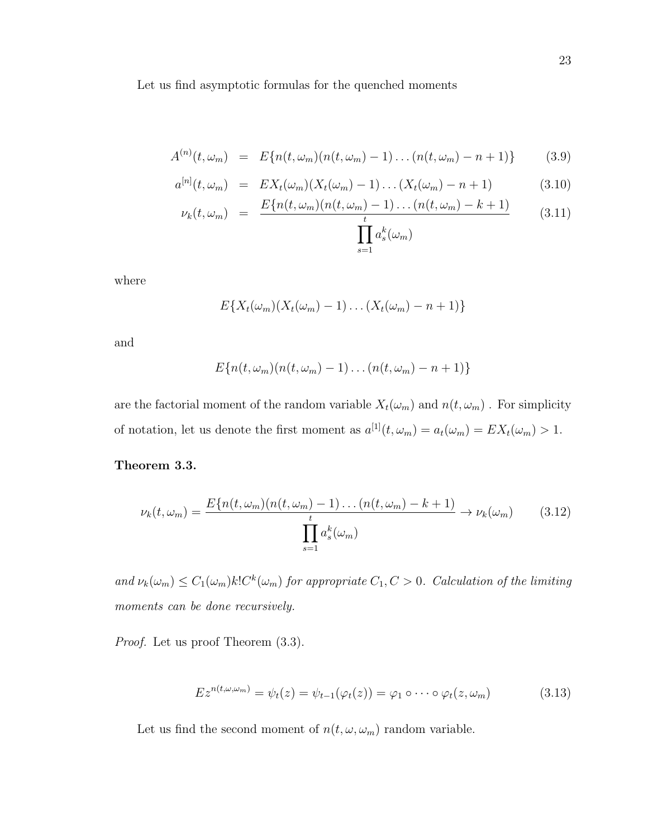Let us find asymptotic formulas for the quenched moments

$$
A^{(n)}(t,\omega_m) = E\{n(t,\omega_m)(n(t,\omega_m)-1)\dots(n(t,\omega_m)-n+1)\}
$$
 (3.9)

$$
a^{[n]}(t,\omega_m) = EX_t(\omega_m)(X_t(\omega_m) - 1)\dots(X_t(\omega_m) - n + 1) \tag{3.10}
$$

$$
\nu_k(t,\omega_m) = \frac{E\{n(t,\omega_m)(n(t,\omega_m)-1)\dots(n(t,\omega_m)-k+1)}{\prod_{s=1}^t a_s^k(\omega_m)} \tag{3.11}
$$

where

$$
E\{X_t(\omega_m)(X_t(\omega_m)-1)\dots(X_t(\omega_m)-n+1)\}\
$$

and

$$
E\{n(t,\omega_m)(n(t,\omega_m)-1)\dots(n(t,\omega_m)-n+1)\}\
$$

are the factorial moment of the random variable  $X_t(\omega_m)$  and  $n(t, \omega_m)$ . For simplicity of notation, let us denote the first moment as  $a^{[1]}(t, \omega_m) = a_t(\omega_m) = EX_t(\omega_m) > 1$ .

## Theorem 3.3.

$$
\nu_k(t,\omega_m) = \frac{E\{n(t,\omega_m)(n(t,\omega_m) - 1)\dots(n(t,\omega_m) - k + 1)}{t} \to \nu_k(\omega_m)}{\prod_{s=1}^t a_s^k(\omega_m)}
$$
(3.12)

and  $\nu_k(\omega_m) \leq C_1(\omega_m)k!C^k(\omega_m)$  for appropriate  $C_1, C > 0$ . Calculation of the limiting moments can be done recursively.

Proof. Let us proof Theorem  $(3.3)$ .

$$
E z^{n(t,\omega,\omega_m)} = \psi_t(z) = \psi_{t-1}(\varphi_t(z)) = \varphi_1 \circ \cdots \circ \varphi_t(z,\omega_m)
$$
(3.13)

Let us find the second moment of  $n(t,\omega,\omega_m)$  random variable.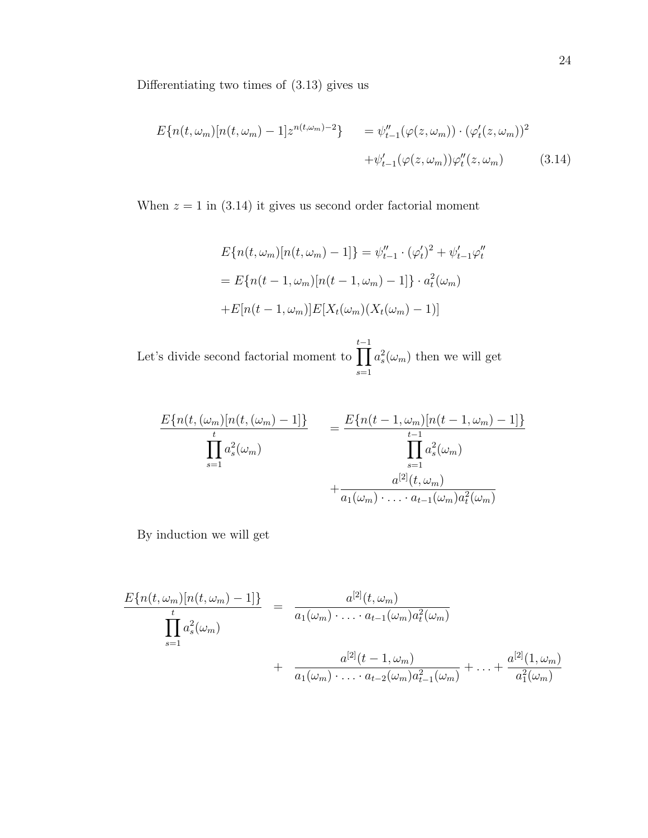Differentiating two times of (3.13) gives us

$$
E\{n(t,\omega_m)[n(t,\omega_m) - 1]z^{n(t,\omega_m)-2}\} = \psi_{t-1}''(\varphi(z,\omega_m)) \cdot (\varphi_t'(z,\omega_m))^2 + \psi_{t-1}'(\varphi(z,\omega_m))\varphi_t''(z,\omega_m)
$$
(3.14)

When  $z = 1$  in (3.14) it gives us second order factorial moment

$$
E\{n(t,\omega_m)[n(t,\omega_m)-1]\} = \psi''_{t-1} \cdot (\varphi'_t)^2 + \psi'_{t-1}\varphi''_t
$$
  
= 
$$
E\{n(t-1,\omega_m)[n(t-1,\omega_m)-1]\} \cdot a_t^2(\omega_m)
$$
  
+
$$
E[n(t-1,\omega_m)]E[X_t(\omega_m)(X_t(\omega_m)-1)]
$$

Let's divide second factorial moment to  $\prod$  $t-1$  $s=1$  $a_s^2(\omega_m)$  then we will get

$$
\frac{E\{n(t, (\omega_m)[n(t, (\omega_m) - 1])\}}{\prod_{s=1}^t a_s^2(\omega_m)} = \frac{E\{n(t - 1, \omega_m)[n(t - 1, \omega_m) - 1]\}}{\prod_{s=1}^{t-1} a_s^2(\omega_m)} + \frac{a^{[2]}(t, \omega_m)}{a_1(\omega_m) \cdot \ldots \cdot a_{t-1}(\omega_m)a_t^2(\omega_m)}
$$

By induction we will get

$$
\frac{E\{n(t,\omega_m)[n(t,\omega_m)-1]\}}{\prod_{s=1}^t a_s^2(\omega_m)} = \frac{a^{[2]}(t,\omega_m)}{a_1(\omega_m)\cdot\ldots\cdot a_{t-1}(\omega_m)a_t^2(\omega_m)} + \frac{a^{[2]}(t-1,\omega_m)}{a_1(\omega_m)\cdot\ldots\cdot a_{t-2}(\omega_m)a_{t-1}^2(\omega_m)} + \ldots + \frac{a^{[2]}(1,\omega_m)}{a_1^2(\omega_m)}
$$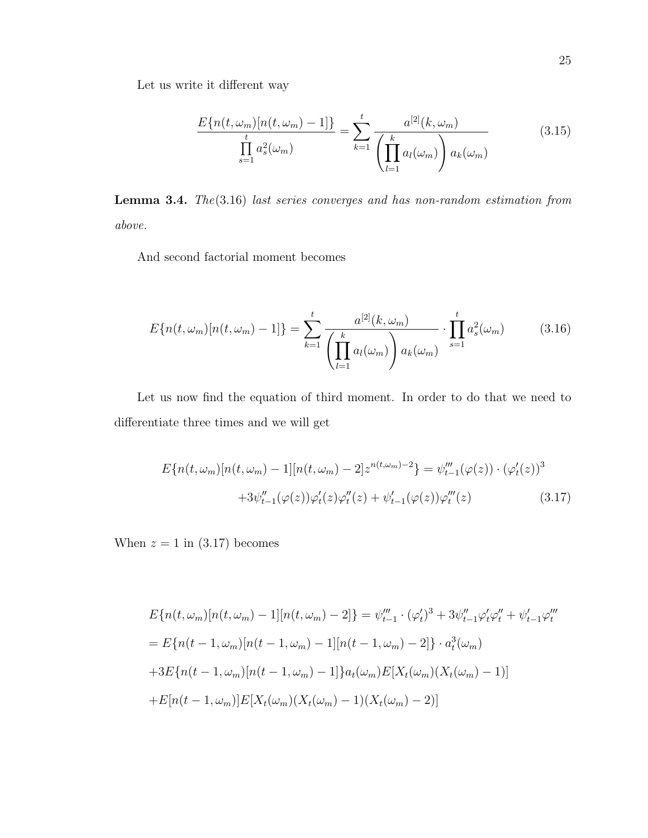Let us write it different way

$$
\frac{E\{n(t,\omega_m)[n(t,\omega_m)-1]\}}{\prod_{s=1}^t a_s^2(\omega_m)} = \sum_{k=1}^t \frac{a^{[2]}(k,\omega_m)}{\left(\prod_{l=1}^k a_l(\omega_m)\right) a_k(\omega_m)}
$$
(3.15)

Lemma 3.4. The(3.16) last series converges and has non-random estimation from above.

And second factorial moment becomes

$$
E\{n(t,\omega_m)[n(t,\omega_m)-1]\} = \sum_{k=1}^{t} \frac{a^{[2]}(k,\omega_m)}{\left(\prod_{l=1}^{k} a_l(\omega_m)\right) a_k(\omega_m)} \cdot \prod_{s=1}^{t} a_s^2(\omega_m)
$$
(3.16)

Let us now find the equation of third moment. In order to do that we need to differentiate three times and we will get

$$
E\{n(t,\omega_m)[n(t,\omega_m) - 1][n(t,\omega_m) - 2]z^{n(t,\omega_m)-2}\} = \psi_{t-1}'''(\varphi(z)) \cdot (\varphi_t'(z))^3
$$

$$
+3\psi_{t-1}''(\varphi(z))\varphi_t'(z)\varphi_t''(z) + \psi_{t-1}'(\varphi(z))\varphi_t'''(z)
$$
(3.17)

When  $z = 1$  in  $(3.17)$  becomes

$$
E\{n(t,\omega_m)[n(t,\omega_m)-1][n(t,\omega_m)-2]\} = \psi_{t-1}''' \cdot (\varphi_t')^3 + 3\psi_{t-1}''\varphi_t'\varphi_t'' + \psi_{t-1}'\varphi_t'''
$$
  
= 
$$
E\{n(t-1,\omega_m)[n(t-1,\omega_m)-1][n(t-1,\omega_m)-2]\} \cdot a_t^3(\omega_m)
$$
  
+
$$
3E\{n(t-1,\omega_m)[n(t-1,\omega_m)-1]\}a_t(\omega_m)E[X_t(\omega_m)(X_t(\omega_m)-1)]
$$
  
+
$$
E[n(t-1,\omega_m)]E[X_t(\omega_m)(X_t(\omega_m)-1)(X_t(\omega_m)-2)]
$$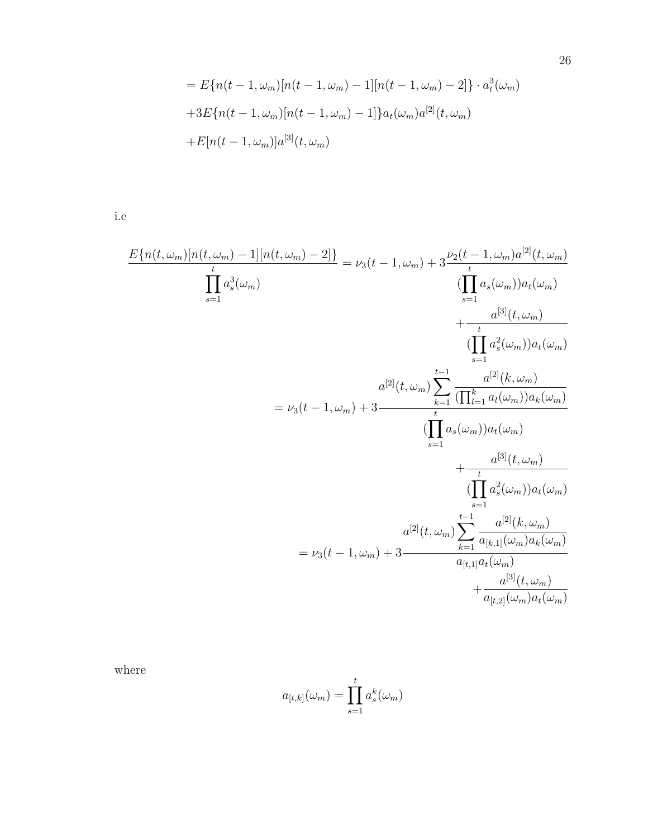$$
= E\{n(t-1,\omega_m)[n(t-1,\omega_m) - 1][n(t-1,\omega_m) - 2]\} \cdot a_t^3(\omega_m)
$$
  
+3E\{n(t-1,\omega\_m)[n(t-1,\omega\_m) - 1]\}a\_t(\omega\_m)a^{[2]}(t,\omega\_m)  
+E[n(t-1,\omega\_m)]a^{[3]}(t,\omega\_m)

i.e

$$
\frac{E\{n(t, \omega_m)[n(t, \omega_m) - 1][n(t, \omega_m) - 2]\}}{\prod_{s=1}^{t} a_s^3(\omega_m)} = \nu_3(t - 1, \omega_m) + 3\frac{\nu_2(t - 1, \omega_m)a^{[2]}(t, \omega_m)}{\prod_{s=1}^{t} a_s(\omega_m))a_t(\omega_m)} + \frac{a^{[3]}(t, \omega_m)}{\prod_{s=1}^{t} a_s^2(\omega_m))a_t(\omega_m)} + \frac{a^{[3]}(t, \omega_m)}{\prod_{s=1}^{t} a_s^2(\omega_m))a_t(\omega_m)}
$$
\n
$$
= \nu_3(t - 1, \omega_m) + 3\frac{\prod_{s=1}^{t-1} \frac{a^{[2]}(k, \omega_m)}{\prod_{s=1}^{t} a_s(\omega_m))a_t(\omega_m)} + \frac{a^{[3]}(t, \omega_m)}{\prod_{s=1}^{t} a_s^2(\omega_m))a_t(\omega_m)} + \frac{a^{[3]}(t, \omega_m)}{\prod_{s=1}^{t-1} a_s^2(\omega_m))a_t(\omega_m)}
$$
\n
$$
= \nu_3(t - 1, \omega_m) + 3\frac{a^{[2]}(t, \omega_m)\sum_{k=1}^{t-1} \frac{a^{[2]}(k, \omega_m)}{a_{[t,1]}(u_m)a_k(\omega_m)} + \frac{a^{[3]}(t, \omega_m)}{a_{[t,2]}(\omega_m)a_t(\omega_m)}
$$

where

$$
a_{[t,k]}(\omega_m) = \prod_{s=1}^t a_s^k(\omega_m)
$$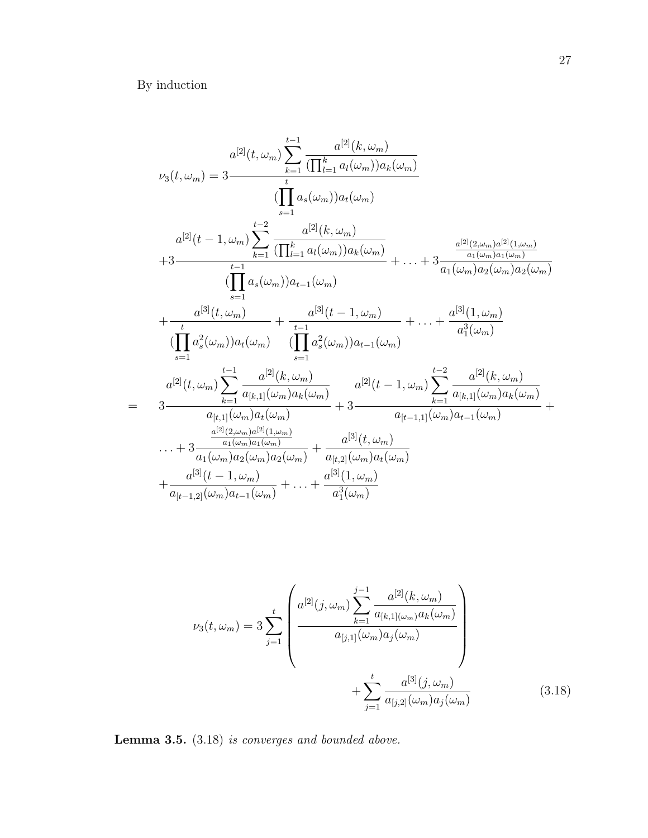By induction

$$
\nu_{3}(t, \omega_{m}) = 3 \frac{a^{[2]}(t, \omega_{m}) \sum_{k=1}^{t-1} \frac{a^{[2]}(k, \omega_{m})}{(\prod_{l=1}^{k} a_{l}(\omega_{m}))a_{k}(\omega_{m})}}{\prod_{s=1}^{t} a_{s}(\omega_{m}))a_{t}(\omega_{m})} \n a^{[2]}(t-1, \omega_{m}) \sum_{k=1}^{t-2} \frac{a^{[2]}(k, \omega_{m})}{(\prod_{l=1}^{k} a_{l}(\omega_{m}))a_{k}(\omega_{m})} + \cdots + 3 \frac{\frac{a^{[2]}(2, \omega_{m})a^{[2]}(1, \omega_{m})}{a_{1}(\omega_{m})a_{1}(\omega_{m})}}{\prod_{s=1}^{t-1} a_{s}(\omega_{m}))a_{t-1}(\omega_{m})} + \cdots + \frac{a^{[3]}(t, \omega_{m})a_{1}(\omega_{m})a_{2}(\omega_{m})}{a_{1}(\omega_{m})a_{2}(\omega_{m})a_{2}(\omega_{m})} + \frac{a^{[3]}(t, \omega_{m})}{(\prod_{s=1}^{t} a_{s}^{2}(\omega_{m}))a_{t-1}(\omega_{m})} + \cdots + \frac{a^{[3]}(1, \omega_{m})}{a_{1}^{3}(\omega_{m})} + \cdots + \frac{a^{[3]}(1, \omega_{m})}{a_{1}^{3}(\omega_{m})} + \cdots + \frac{a^{[3]}(1, \omega_{m})}{a_{1}^{3}(\omega_{m})}}{a^{[2]}(t, \omega_{m}) \sum_{k=1}^{t-1} \frac{a^{[2]}(k, \omega_{m})}{a_{[k,1]}(\omega_{m})a_{k}(\omega_{m})} + 3 \frac{a^{[2]}(t-1, \omega_{m}) \sum_{k=1}^{t-2} \frac{a^{[2]}(k, \omega_{m})}{a_{[k,1]}(\omega_{m})a_{k}(\omega_{m})}}{a_{1}(\omega_{m})a_{1}(\omega_{m})} + \cdots + 3 \frac{\frac{a^{[2]}(2, \omega_{m})a^{[2]}(1, \omega_{m})}{a_{1}(\omega_{m})a_{2}(\omega_{m})a_{2}(\omega_{m})} + \frac{a^{[3]}(t, \omega_{m})}{a_{[t-1,
$$

$$
\nu_3(t,\omega_m) = 3 \sum_{j=1}^t \left( \frac{a^{[2]}(j,\omega_m) \sum_{k=1}^{j-1} \frac{a^{[2]}(k,\omega_m)}{a_{[k,1]}(\omega_m)a_k(\omega_m)}}{a_{[j,1]}(\omega_m)a_j(\omega_m)} + \sum_{j=1}^t \frac{a^{[3]}(j,\omega_m)}{a_{[j,2]}(\omega_m)a_j(\omega_m)} \right)
$$
(3.18)

Lemma 3.5.  $(3.18)$  is converges and bounded above.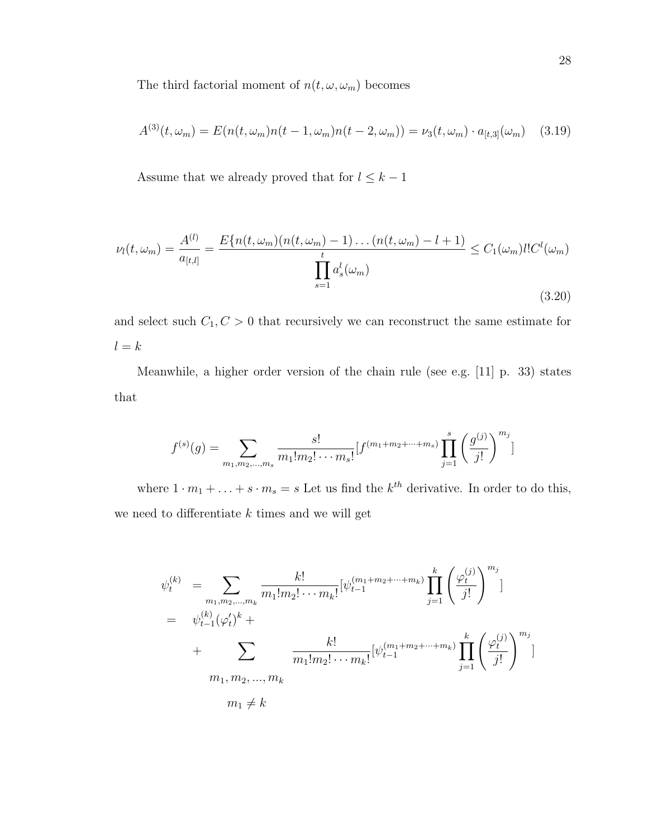The third factorial moment of  $n(t, \omega, \omega_m)$  becomes

$$
A^{(3)}(t,\omega_m) = E(n(t,\omega_m)n(t-1,\omega_m)n(t-2,\omega_m)) = \nu_3(t,\omega_m) \cdot a_{[t,3]}(\omega_m) \quad (3.19)
$$

Assume that we already proved that for  $l\leq k-1$ 

$$
\nu_l(t,\omega_m) = \frac{A^{(l)}}{a_{[t,l]}} = \frac{E\{n(t,\omega_m)(n(t,\omega_m) - 1)\dots(n(t,\omega_m) - l + 1)}{t}}{\prod_{s=1}^t a_s^l(\omega_m)} \le C_1(\omega_m)l!C^l(\omega_m)
$$
\n(3.20)

and select such  $C_1, C > 0$  that recursively we can reconstruct the same estimate for  $l = k$ 

Meanwhile, a higher order version of the chain rule (see e.g. [11] p. 33) states that

$$
f^{(s)}(g) = \sum_{m_1, m_2, \dots, m_s} \frac{s!}{m_1! m_2! \cdots m_s!} [f^{(m_1+m_2+\cdots+m_s)} \prod_{j=1}^s \left(\frac{g^{(j)}}{j!}\right)^{m_j}]
$$

where  $1 \cdot m_1 + \ldots + s \cdot m_s = s$  Let us find the  $k^{th}$  derivative. In order to do this, we need to differentiate  $k$  times and we will get

$$
\psi_t^{(k)} = \sum_{m_1, m_2, \dots, m_k} \frac{k!}{m_1! m_2! \cdots m_k!} [\psi_{t-1}^{(m_1 + m_2 + \cdots + m_k)} \prod_{j=1}^k \left( \frac{\varphi_t^{(j)}}{j!} \right)^{m_j} ]
$$
  
\n
$$
= \psi_{t-1}^{(k)} (\varphi_t')^k + \sum_{m_1, m_2, \dots, m_k} \frac{k!}{m_1! m_2! \cdots m_k!} [\psi_{t-1}^{(m_1 + m_2 + \cdots + m_k)} \prod_{j=1}^k \left( \frac{\varphi_t^{(j)}}{j!} \right)^{m_j} ]
$$
  
\n
$$
m_1, m_2, \dots, m_k
$$
  
\n
$$
m_1 \neq k
$$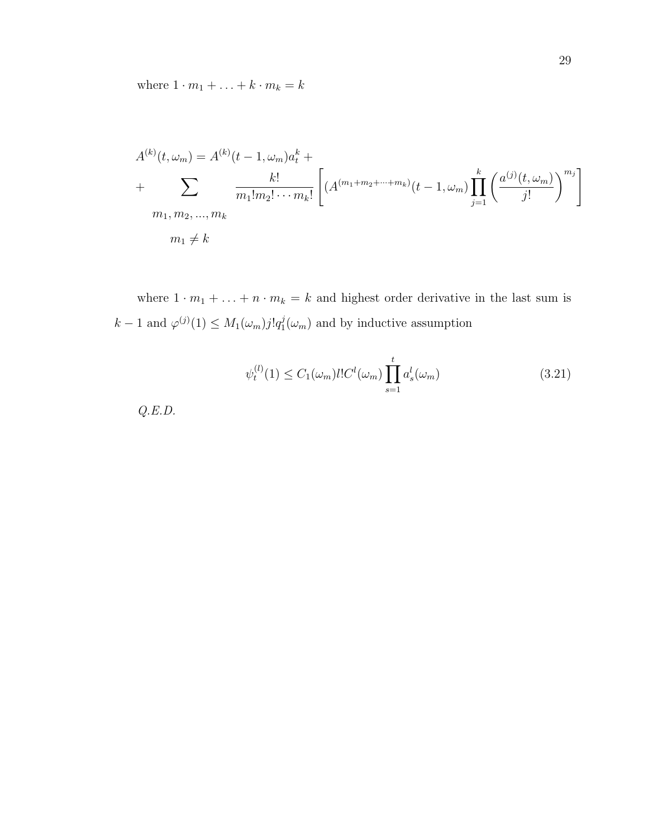where  $1\cdot m_1+\ldots+k\cdot m_k=k$ 

$$
A^{(k)}(t, \omega_m) = A^{(k)}(t - 1, \omega_m)a_t^k + \sum_{m_1, m_2, \dots, m_k} \frac{k!}{m_1! m_2! \cdots m_k!} \left[ (A^{(m_1 + m_2 + \cdots + m_k)}(t - 1, \omega_m) \prod_{j=1}^k \left( \frac{a^{(j)}(t, \omega_m)}{j!} \right)^{m_j} \right]
$$
  

$$
m_1, m_2, \dots, m_k
$$
  

$$
m_1 \neq k
$$

where  $1 \cdot m_1 + \ldots + n \cdot m_k = k$  and highest order derivative in the last sum is  $k-1$  and  $\varphi^{(j)}(1) \leq M_1(\omega_m) j! q_1^j$  $j(\omega_m)$  and by inductive assumption

$$
\psi_t^{(l)}(1) \le C_1(\omega_m) l! C^l(\omega_m) \prod_{s=1}^t a_s^l(\omega_m)
$$
\n(3.21)

 $Q.E.D.$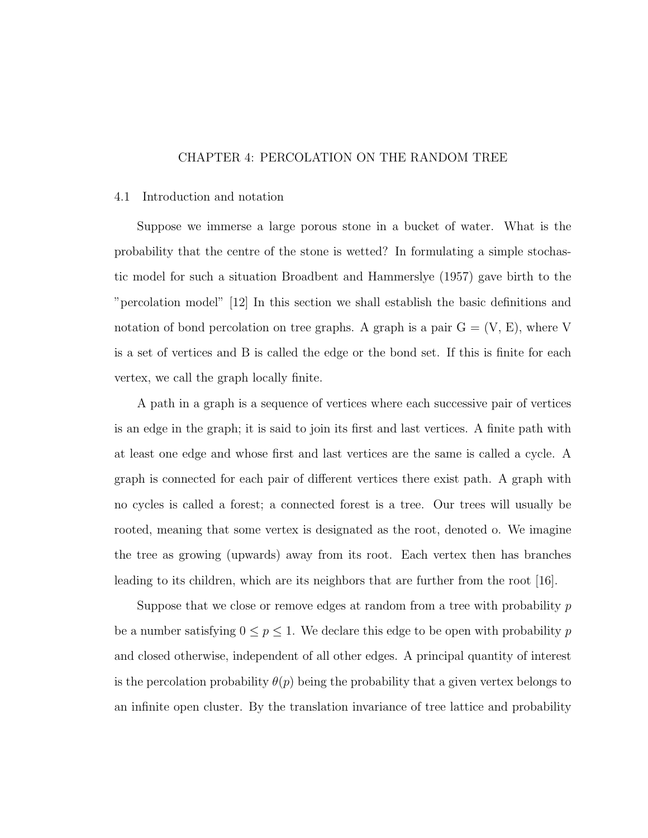## CHAPTER 4: PERCOLATION ON THE RANDOM TREE

#### 4.1 Introduction and notation

Suppose we immerse a large porous stone in a bucket of water. What is the probability that the centre of the stone is wetted? In formulating a simple stochastic model for such a situation Broadbent and Hammerslye (1957) gave birth to the "percolation model" [12] In this section we shall establish the basic definitions and notation of bond percolation on tree graphs. A graph is a pair  $G = (V, E)$ , where V is a set of vertices and B is called the edge or the bond set. If this is finite for each vertex, we call the graph locally finite.

A path in a graph is a sequence of vertices where each successive pair of vertices is an edge in the graph; it is said to join its first and last vertices. A finite path with at least one edge and whose first and last vertices are the same is called a cycle. A graph is connected for each pair of different vertices there exist path. A graph with no cycles is called a forest; a connected forest is a tree. Our trees will usually be rooted, meaning that some vertex is designated as the root, denoted o. We imagine the tree as growing (upwards) away from its root. Each vertex then has branches leading to its children, which are its neighbors that are further from the root [16].

Suppose that we close or remove edges at random from a tree with probability  $p$ be a number satisfying  $0 \le p \le 1$ . We declare this edge to be open with probability p and closed otherwise, independent of all other edges. A principal quantity of interest is the percolation probability  $\theta(p)$  being the probability that a given vertex belongs to an infinite open cluster. By the translation invariance of tree lattice and probability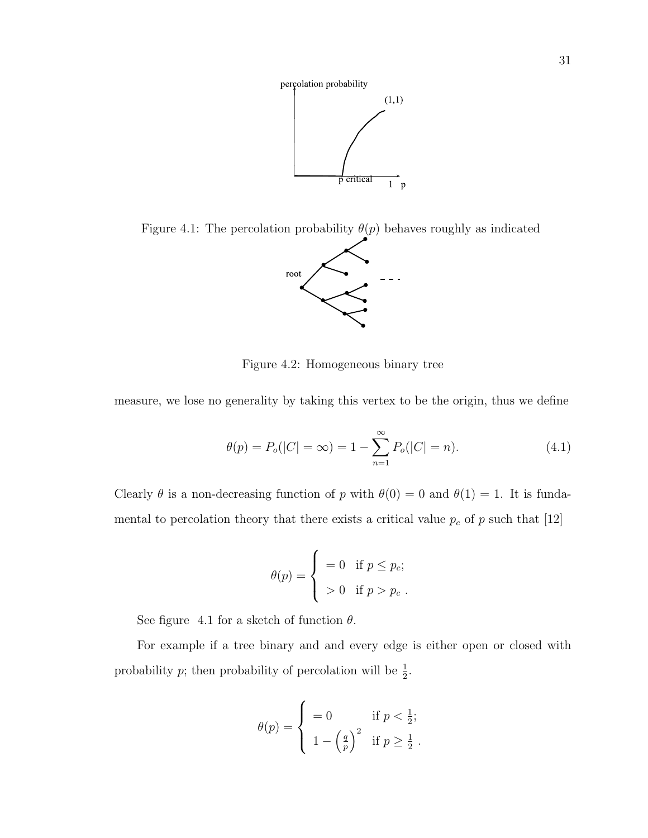

Figure 4.1: The percolation probability  $\theta(p)$  behaves roughly as indicated



Figure 4.2: Homogeneous binary tree

measure, we lose no generality by taking this vertex to be the origin, thus we define

$$
\theta(p) = P_o(|C| = \infty) = 1 - \sum_{n=1}^{\infty} P_o(|C| = n). \tag{4.1}
$$

Clearly  $\theta$  is a non-decreasing function of p with  $\theta(0) = 0$  and  $\theta(1) = 1$ . It is fundamental to percolation theory that there exists a critical value  $p_c$  of p such that [12]

$$
\theta(p) = \begin{cases}\n= 0 & \text{if } p \le p_c; \\
> 0 & \text{if } p > p_c.\n\end{cases}
$$

See figure 4.1 for a sketch of function  $\theta$ .

For example if a tree binary and and every edge is either open or closed with probability p; then probability of percolation will be  $\frac{1}{2}$ .

$$
\theta(p) = \begin{cases}\n= 0 & \text{if } p < \frac{1}{2}; \\
1 - \left(\frac{q}{p}\right)^2 & \text{if } p \ge \frac{1}{2}.\n\end{cases}
$$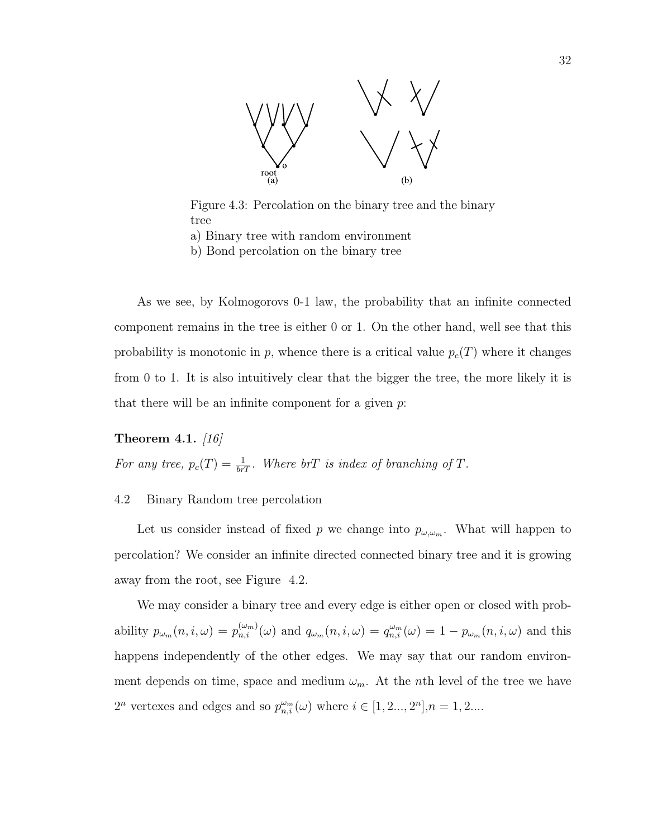

Figure 4.3: Percolation on the binary tree and the binary tree

- a) Binary tree with random environment
- b) Bond percolation on the binary tree

As we see, by Kolmogorovs 0-1 law, the probability that an infinite connected component remains in the tree is either 0 or 1. On the other hand, well see that this probability is monotonic in p, whence there is a critical value  $p_c(T)$  where it changes from 0 to 1. It is also intuitively clear that the bigger the tree, the more likely it is that there will be an infinite component for a given  $p$ .

## Theorem 4.1.  $\langle 16 \rangle$

For any tree,  $p_c(T) = \frac{1}{b_TT}$ . Where  $b_TT$  is index of branching of T.

# 4.2 Binary Random tree percolation

Let us consider instead of fixed p we change into  $p_{\omega,\omega_m}$ . What will happen to percolation? We consider an infinite directed connected binary tree and it is growing away from the root, see Figure 4.2.

We may consider a binary tree and every edge is either open or closed with probability  $p_{\omega_m}(n, i, \omega) = p_{n,i}^{(\omega_m)}(\omega)$  and  $q_{\omega_m}(n, i, \omega) = q_{n,i}^{\omega_m}(\omega) = 1 - p_{\omega_m}(n, i, \omega)$  and this happens independently of the other edges. We may say that our random environment depends on time, space and medium  $\omega_m$ . At the nth level of the tree we have  $2^n$  vertexes and edges and so  $p_{n,i}^{\omega_m}(\omega)$  where  $i \in [1, 2..., 2^n], n = 1, 2....$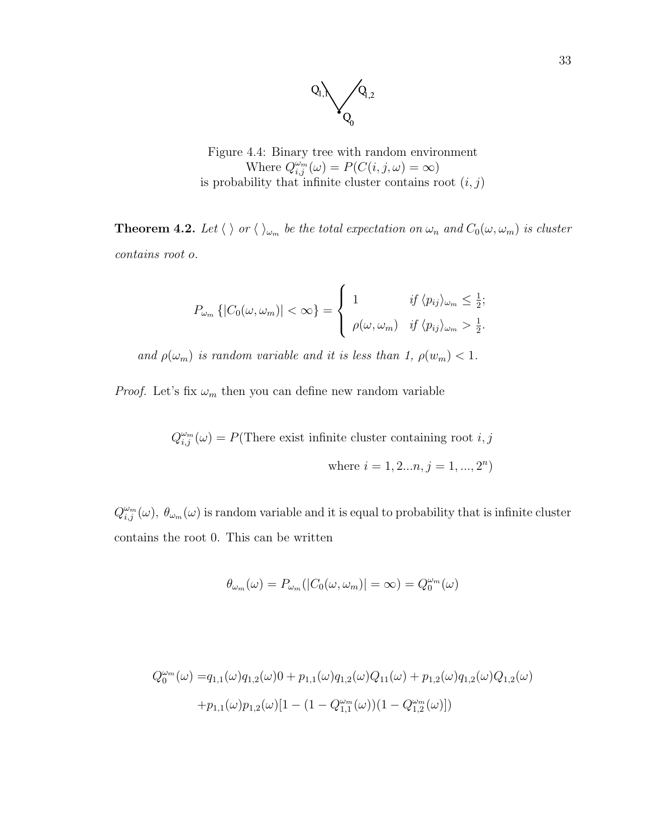

Figure 4.4: Binary tree with random environment Where  $Q_{i,j}^{\omega_m}(\omega) = P(C(i,j,\omega) = \infty)$ is probability that infinite cluster contains root  $(i, j)$ 

**Theorem 4.2.** Let  $\langle \ \rangle$  or  $\langle \ \rangle_{\omega_m}$  be the total expectation on  $\omega_n$  and  $C_0(\omega, \omega_m)$  is cluster contains root o.

$$
P_{\omega_m}\left\{|C_0(\omega,\omega_m)|<\infty\right\}=\left\{\begin{array}{ll}1 & \text{if } \langle p_{ij}\rangle_{\omega_m}\leq\frac{1}{2}; \\ \rho(\omega,\omega_m) & \text{if } \langle p_{ij}\rangle_{\omega_m}>\frac{1}{2}.\end{array}\right.
$$

and  $\rho(\omega_m)$  is random variable and it is less than 1,  $\rho(w_m)$  < 1.

*Proof.* Let's fix  $\omega_m$  then you can define new random variable

 $Q_{i,j}^{\omega_m}(\omega) = P(\text{There exist infinite cluster containing root } i, j)$ where  $i = 1, 2...n, j = 1, ..., 2<sup>n</sup>$ 

 $Q_{i,j}^{\omega_m}(\omega)$ ,  $\theta_{\omega_m}(\omega)$  is random variable and it is equal to probability that is infinite cluster contains the root 0. This can be written

$$
\theta_{\omega_m}(\omega) = P_{\omega_m}(|C_0(\omega, \omega_m)| = \infty) = Q_0^{\omega_m}(\omega)
$$

$$
Q_0^{\omega_m}(\omega) = q_{1,1}(\omega)q_{1,2}(\omega)0 + p_{1,1}(\omega)q_{1,2}(\omega)Q_{11}(\omega) + p_{1,2}(\omega)q_{1,2}(\omega)Q_{1,2}(\omega) + p_{1,1}(\omega)p_{1,2}(\omega)[1 - (1 - Q_{1,1}^{\omega_m}(\omega))(1 - Q_{1,2}^{\omega_m}(\omega))]
$$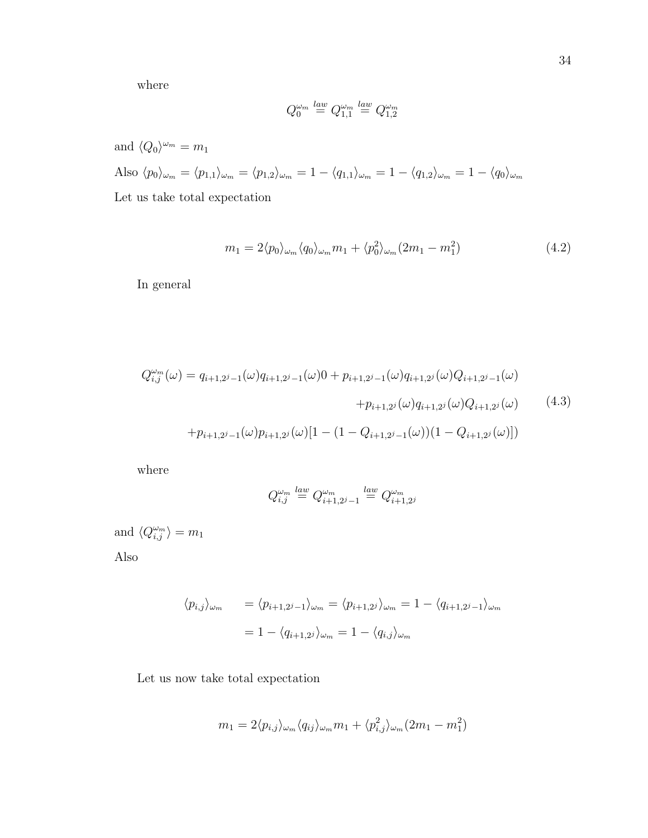where

$$
Q_0^{\omega_m} \stackrel{law}{=} Q_{1,1}^{\omega_m} \stackrel{law}{=} Q_{1,2}^{\omega_m}
$$

and  $\langle Q_0 \rangle^{\omega_m} = m_1$ Also  $\langle p_0 \rangle_{\omega_m} = \langle p_{1,1} \rangle_{\omega_m} = \langle p_{1,2} \rangle_{\omega_m} = 1 - \langle q_{1,1} \rangle_{\omega_m} = 1 - \langle q_{1,2} \rangle_{\omega_m} = 1 - \langle q_0 \rangle_{\omega_m}$ Let us take total expectation

$$
m_1 = 2\langle p_0 \rangle_{\omega_m} \langle q_0 \rangle_{\omega_m} m_1 + \langle p_0^2 \rangle_{\omega_m} (2m_1 - m_1^2) \tag{4.2}
$$

In general

$$
Q_{i,j}^{\omega_m}(\omega) = q_{i+1,2^{j}-1}(\omega)q_{i+1,2^{j}-1}(\omega)0 + p_{i+1,2^{j}-1}(\omega)q_{i+1,2^{j}}(\omega)Q_{i+1,2^{j}-1}(\omega) + p_{i+1,2^{j}}(\omega)q_{i+1,2^{j}}(\omega)Q_{i+1,2^{j}}(\omega) \qquad (4.3)
$$

$$
+ p_{i+1,2^{j}-1}(\omega)p_{i+1,2^{j}}(\omega)[1 - (1 - Q_{i+1,2^{j}-1}(\omega))(1 - Q_{i+1,2^{j}}(\omega))]
$$

where

$$
Q^{\omega_m}_{i,j}\stackrel{law}=Q^{\omega_m}_{i+1,2^j-1}\stackrel{law}=Q^{\omega_m}_{i+1,2^j}
$$

and  $\langle Q_{i,j}^{\omega_m} \rangle = m_1$ 

Also

$$
\langle p_{i,j} \rangle_{\omega_m} = \langle p_{i+1,2^j-1} \rangle_{\omega_m} = \langle p_{i+1,2^j} \rangle_{\omega_m} = 1 - \langle q_{i+1,2^j-1} \rangle_{\omega_m}
$$

$$
= 1 - \langle q_{i+1,2^j} \rangle_{\omega_m} = 1 - \langle q_{i,j} \rangle_{\omega_m}
$$

Let us now take total expectation

$$
m_1 = 2\langle p_{i,j} \rangle_{\omega_m} \langle q_{ij} \rangle_{\omega_m} m_1 + \langle p_{i,j}^2 \rangle_{\omega_m} (2m_1 - m_1^2)
$$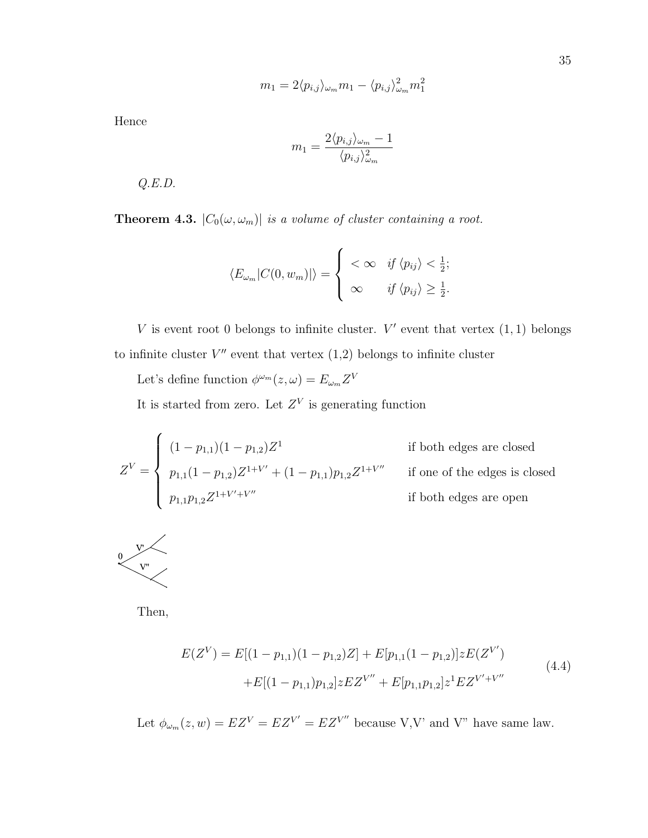$$
m_1 = 2\langle p_{i,j} \rangle_{\omega_m} m_1 - \langle p_{i,j} \rangle_{\omega_m}^2 m_1^2
$$

Hence

$$
m_1 = \frac{2\langle p_{i,j} \rangle_{\omega_m} - 1}{\langle p_{i,j} \rangle_{\omega_m}^2}
$$

Q.E.D.

**Theorem 4.3.**  $|C_0(\omega, \omega_m)|$  is a volume of cluster containing a root.

$$
\langle E_{\omega_m} | C(0, w_m) | \rangle = \begin{cases} \langle \infty & \text{if } \langle p_{ij} \rangle \langle \frac{1}{2}; \\ \infty & \text{if } \langle p_{ij} \rangle \geq \frac{1}{2}. \end{cases}
$$

V is event root 0 belongs to infinite cluster.  $V'$  event that vertex  $(1,1)$  belongs to infinite cluster  $V''$  event that vertex  $(1,2)$  belongs to infinite cluster

Let's define function  $\phi^{\omega_m}(z,\omega) = E_{\omega_m} Z^V$ 

It is started from zero. Let  $Z<sup>V</sup>$  is generating function

$$
Z^{V} = \begin{cases} (1 - p_{1,1})(1 - p_{1,2})Z^{1} & \text{if both edges are closed} \\ p_{1,1}(1 - p_{1,2})Z^{1+V'} + (1 - p_{1,1})p_{1,2}Z^{1+V''} & \text{if one of the edges is closed} \\ p_{1,1}p_{1,2}Z^{1+V'+V''} & \text{if both edges are open} \end{cases}
$$



Then,

$$
E(Z^{V}) = E[(1 - p_{1,1})(1 - p_{1,2})Z] + E[p_{1,1}(1 - p_{1,2})]zE(Z^{V'})
$$
  
+
$$
E[(1 - p_{1,1})p_{1,2}]zEZ^{V''} + E[p_{1,1}p_{1,2}]z^{1}EZ^{V'+V''}
$$
\n(4.4)

Let  $\phi_{\omega_m}(z, w) = EZ^V = EZ^{V'} = EZ^{V''}$  because V,V' and V" have same law.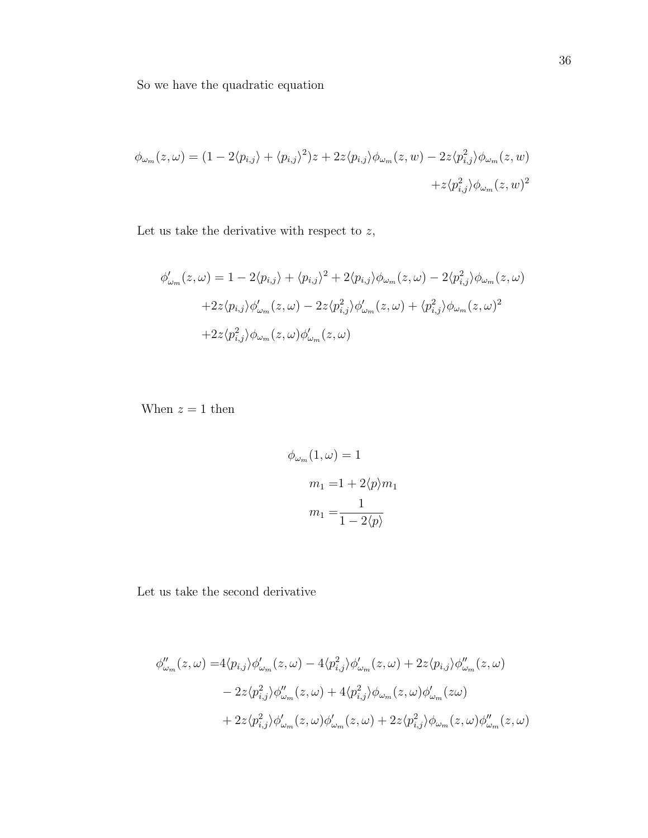So we have the quadratic equation

$$
\phi_{\omega_m}(z,\omega) = (1 - 2\langle p_{i,j} \rangle + \langle p_{i,j} \rangle^2)z + 2z\langle p_{i,j} \rangle \phi_{\omega_m}(z,w) - 2z\langle p_{i,j}^2 \rangle \phi_{\omega_m}(z,w) + z\langle p_{i,j}^2 \rangle \phi_{\omega_m}(z,w)^2
$$

Let us take the derivative with respect to  $\boldsymbol{z},$ 

$$
\phi'_{\omega_m}(z,\omega) = 1 - 2\langle p_{i,j} \rangle + \langle p_{i,j} \rangle^2 + 2\langle p_{i,j} \rangle \phi_{\omega_m}(z,\omega) - 2\langle p_{i,j}^2 \rangle \phi_{\omega_m}(z,\omega)
$$

$$
+ 2z \langle p_{i,j} \rangle \phi'_{\omega_m}(z,\omega) - 2z \langle p_{i,j}^2 \rangle \phi'_{\omega_m}(z,\omega) + \langle p_{i,j}^2 \rangle \phi_{\omega_m}(z,\omega)^2
$$

$$
+ 2z \langle p_{i,j}^2 \rangle \phi_{\omega_m}(z,\omega) \phi'_{\omega_m}(z,\omega)
$$

When  $z = 1$  then

$$
\phi_{\omega_m}(1,\omega) = 1
$$

$$
m_1 = 1 + 2\langle p \rangle m_1
$$

$$
m_1 = \frac{1}{1 - 2\langle p \rangle}
$$

Let us take the second derivative

$$
\phi''_{\omega_m}(z,\omega) = 4\langle p_{i,j} \rangle \phi'_{\omega_m}(z,\omega) - 4\langle p_{i,j}^2 \rangle \phi'_{\omega_m}(z,\omega) + 2z \langle p_{i,j} \rangle \phi''_{\omega_m}(z,\omega) - 2z \langle p_{i,j}^2 \rangle \phi''_{\omega_m}(z,\omega) + 4\langle p_{i,j}^2 \rangle \phi_{\omega_m}(z,\omega) \phi'_{\omega_m}(z\omega) + 2z \langle p_{i,j}^2 \rangle \phi'_{\omega_m}(z,\omega) \phi'_{\omega_m}(z,\omega) + 2z \langle p_{i,j}^2 \rangle \phi_{\omega_m}(z,\omega) \phi''_{\omega_m}(z,\omega)
$$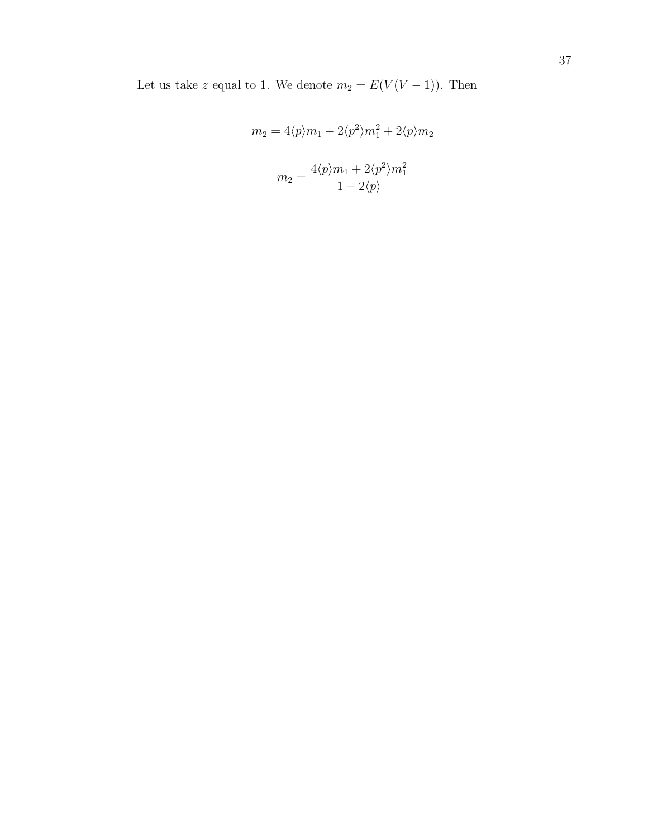Let us take z equal to 1. We denote  $m_2 = E(V(V-1))$ . Then

$$
m_2 = 4\langle p \rangle m_1 + 2\langle p^2 \rangle m_1^2 + 2\langle p \rangle m_2
$$

$$
m_2 = \frac{4\langle p \rangle m_1 + 2\langle p^2 \rangle m_1^2}{1 - 2\langle p \rangle}
$$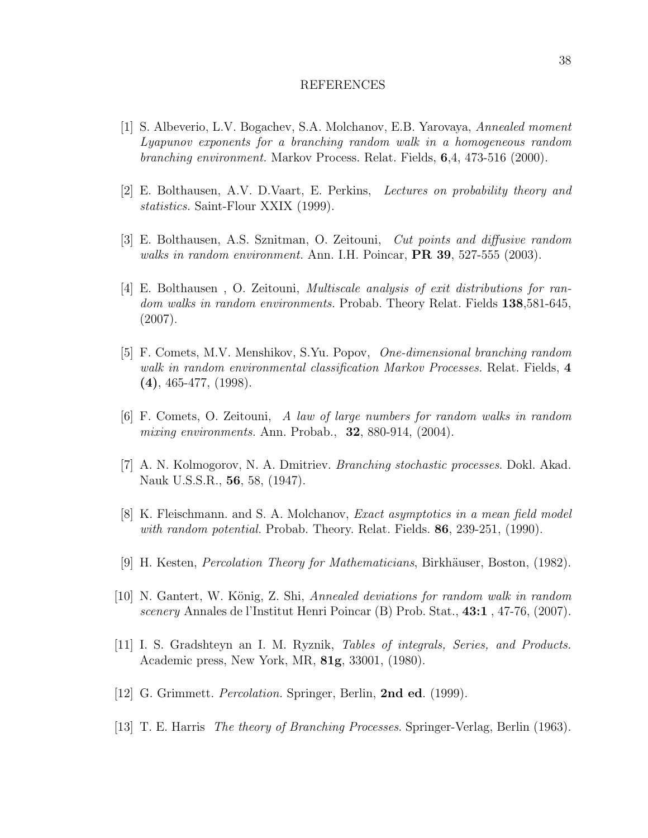#### REFERENCES

- [1] S. Albeverio, L.V. Bogachev, S.A. Molchanov, E.B. Yarovaya, Annealed moment Lyapunov exponents for a branching random walk in a homogeneous random branching environment. Markov Process. Relat. Fields, 6,4, 473-516 (2000).
- [2] E. Bolthausen, A.V. D.Vaart, E. Perkins, Lectures on probability theory and statistics. Saint-Flour XXIX (1999).
- [3] E. Bolthausen, A.S. Sznitman, O. Zeitouni, Cut points and diffusive random walks in random environment. Ann. I.H. Poincar,  $PR\ 39, 527-555$  (2003).
- [4] E. Bolthausen , O. Zeitouni, Multiscale analysis of exit distributions for random walks in random environments. Probab. Theory Relat. Fields 138,581-645, (2007).
- [5] F. Comets, M.V. Menshikov, S.Yu. Popov, One-dimensional branching random walk in random environmental classification Markov Processes. Relat. Fields, 4 (4), 465-477, (1998).
- [6] F. Comets, O. Zeitouni, A law of large numbers for random walks in random mixing environments. Ann. Probab.,  $32$ , 880-914,  $(2004)$ .
- [7] A. N. Kolmogorov, N. A. Dmitriev. Branching stochastic processes. Dokl. Akad. Nauk U.S.S.R., 56, 58, (1947).
- [8] K. Fleischmann. and S. A. Molchanov, Exact asymptotics in a mean field model with random potential. Probab. Theory. Relat. Fields.  $86, 239-251, (1990)$ .
- [9] H. Kesten, *Percolation Theory for Mathematicians*, Birkhäuser, Boston,  $(1982)$ .
- [10] N. Gantert, W. König, Z. Shi, Annealed deviations for random walk in random scenery Annales de l'Institut Henri Poincar (B) Prob. Stat., 43:1 , 47-76, (2007).
- [11] I. S. Gradshteyn an I. M. Ryznik, Tables of integrals, Series, and Products. Academic press, New York, MR, 81g, 33001, (1980).
- [12] G. Grimmett. *Percolation*. Springer, Berlin, **2nd ed.** (1999).
- [13] T. E. Harris The theory of Branching Processes. Springer-Verlag, Berlin (1963).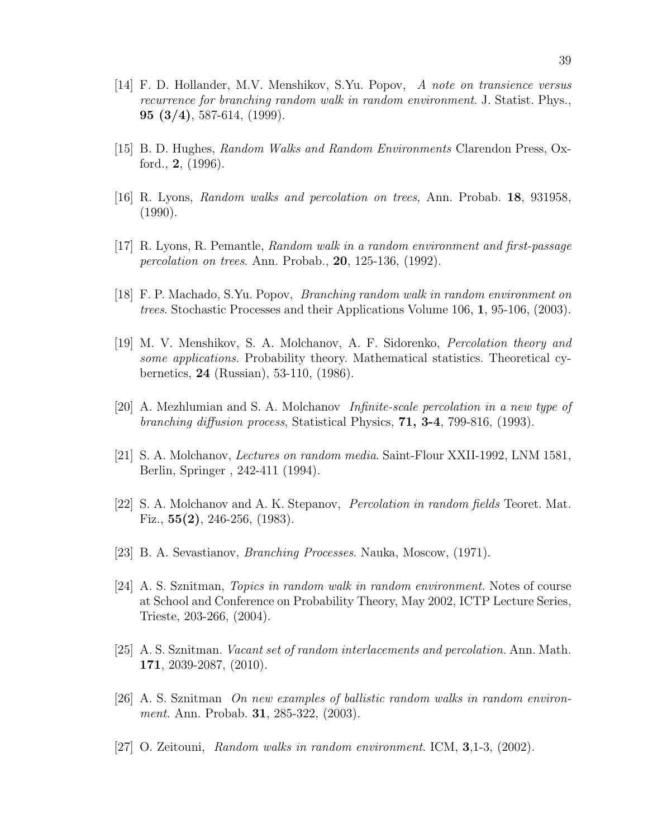- [14] F. D. Hollander, M.V. Menshikov, S.Yu. Popov, A note on transience versus recurrence for branching random walk in random environment. J. Statist. Phys., **95** (3/4), 587-614, (1999).
- [15] B. D. Hughes, Random Walks and Random Environments Clarendon Press, Oxford., 2, (1996).
- [16] R. Lyons, Random walks and percolation on trees, Ann. Probab. 18, 931958, (1990).
- [17] R. Lyons, R. Pemantle, Random walk in a random environment and first-passage percolation on trees. Ann. Probab., 20, 125-136, (1992).
- [18] F. P. Machado, S.Yu. Popov, Branching random walk in random environment on trees. Stochastic Processes and their Applications Volume 106, 1, 95-106, (2003).
- [19] M. V. Menshikov, S. A. Molchanov, A. F. Sidorenko, Percolation theory and some applications. Probability theory. Mathematical statistics. Theoretical cybernetics, 24 (Russian), 53-110, (1986).
- [20] A. Mezhlumian and S. A. Molchanov Infinite-scale percolation in a new type of branching diffusion process, Statistical Physics,  $71, 3-4, 799-816, (1993)$ .
- [21] S. A. Molchanov, Lectures on random media. Saint-Flour XXII-1992, LNM 1581, Berlin, Springer , 242-411 (1994).
- [22] S. A. Molchanov and A. K. Stepanov, Percolation in random fields Teoret. Mat. Fiz., 55(2), 246-256, (1983).
- [23] B. A. Sevastianov, Branching Processes. Nauka, Moscow, (1971).
- [24] A. S. Sznitman, Topics in random walk in random environment. Notes of course at School and Conference on Probability Theory, May 2002, ICTP Lecture Series, Trieste, 203-266, (2004).
- [25] A. S. Sznitman. Vacant set of random interlacements and percolation. Ann. Math. 171, 2039-2087, (2010).
- [26] A. S. Sznitman On new examples of ballistic random walks in random environment. Ann. Probab. **31**, 285-322, (2003).
- [27] O. Zeitouni, Random walks in random environment. ICM, 3,1-3, (2002).